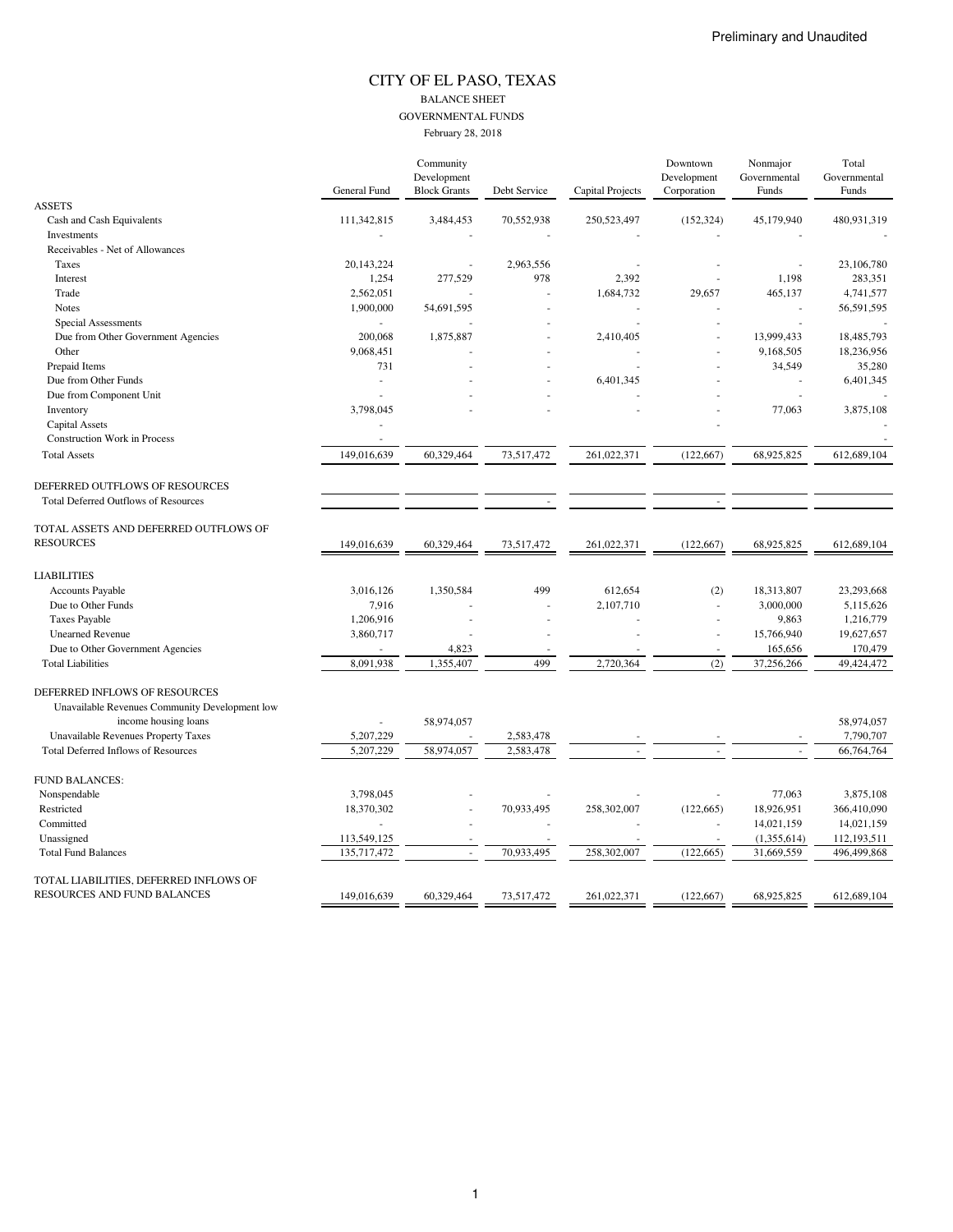### CITY OF EL PASO, TEXAS BALANCE SHEET GOVERNMENTAL FUNDS February 28, 2018

|                                                |                     | Community           |              |                  | Downtown    | Nonmajor     | Total        |
|------------------------------------------------|---------------------|---------------------|--------------|------------------|-------------|--------------|--------------|
|                                                |                     | Development         |              |                  | Development | Governmental | Governmental |
|                                                | <b>General Fund</b> | <b>Block Grants</b> | Debt Service | Capital Projects | Corporation | Funds        | Funds        |
| <b>ASSETS</b>                                  |                     |                     |              |                  |             |              |              |
| Cash and Cash Equivalents                      | 111,342,815         | 3,484,453           | 70,552,938   | 250,523,497      | (152, 324)  | 45,179,940   | 480,931,319  |
| Investments                                    |                     |                     |              |                  |             |              |              |
| Receivables - Net of Allowances                |                     |                     |              |                  |             |              |              |
| Taxes                                          | 20,143,224          |                     | 2,963,556    |                  |             |              | 23,106,780   |
| Interest                                       | 1,254               | 277,529             | 978          | 2,392            |             | 1,198        | 283,351      |
| Trade                                          | 2,562,051           |                     |              | 1,684,732        | 29,657      | 465,137      | 4,741,577    |
| <b>Notes</b>                                   | 1,900,000           | 54,691,595          |              |                  |             |              | 56,591,595   |
| Special Assessments                            |                     |                     |              |                  |             | ÷,           |              |
| Due from Other Government Agencies             | 200,068             | 1,875,887           |              | 2,410,405        |             | 13,999,433   | 18,485,793   |
| Other                                          | 9,068,451           |                     |              |                  |             | 9,168,505    | 18,236,956   |
| Prepaid Items                                  | 731                 |                     |              |                  |             | 34,549       | 35,280       |
| Due from Other Funds                           |                     |                     |              | 6,401,345        |             |              | 6,401,345    |
| Due from Component Unit                        |                     |                     |              |                  |             |              |              |
| Inventory                                      | 3,798,045           |                     |              |                  |             | 77,063       | 3,875,108    |
| Capital Assets                                 |                     |                     |              |                  |             |              |              |
| <b>Construction Work in Process</b>            |                     |                     |              |                  |             |              |              |
| <b>Total Assets</b>                            | 149,016,639         | 60,329,464          | 73,517,472   | 261,022,371      | (122, 667)  | 68,925,825   | 612,689,104  |
|                                                |                     |                     |              |                  |             |              |              |
| DEFERRED OUTFLOWS OF RESOURCES                 |                     |                     |              |                  |             |              |              |
|                                                |                     |                     |              |                  |             |              |              |
| <b>Total Deferred Outflows of Resources</b>    |                     |                     |              |                  |             |              |              |
| TOTAL ASSETS AND DEFERRED OUTFLOWS OF          |                     |                     |              |                  |             |              |              |
| <b>RESOURCES</b>                               |                     |                     |              |                  |             |              |              |
|                                                | 149,016,639         | 60,329,464          | 73,517,472   | 261,022,371      | (122, 667)  | 68,925,825   | 612,689,104  |
|                                                |                     |                     |              |                  |             |              |              |
| <b>LIABILITIES</b>                             |                     |                     |              |                  |             |              |              |
| <b>Accounts Payable</b>                        | 3,016,126           | 1,350,584           | 499          | 612,654          | (2)         | 18,313,807   | 23,293,668   |
| Due to Other Funds                             | 7,916               |                     |              | 2,107,710        | $\sim$      | 3,000,000    | 5,115,626    |
| <b>Taxes Payable</b>                           | 1,206,916           |                     |              |                  |             | 9,863        | 1,216,779    |
| <b>Unearned Revenue</b>                        | 3,860,717           |                     |              |                  |             | 15,766,940   | 19,627,657   |
| Due to Other Government Agencies               |                     | 4,823               |              |                  |             | 165,656      | 170,479      |
| <b>Total Liabilities</b>                       | 8,091,938           | 1,355,407           | 499          | 2,720,364        | (2)         | 37,256,266   | 49,424,472   |
|                                                |                     |                     |              |                  |             |              |              |
| DEFERRED INFLOWS OF RESOURCES                  |                     |                     |              |                  |             |              |              |
| Unavailable Revenues Community Development low |                     |                     |              |                  |             |              |              |
| income housing loans                           |                     | 58,974,057          |              |                  |             |              | 58,974,057   |
| <b>Unavailable Revenues Property Taxes</b>     | 5,207,229           |                     | 2,583,478    |                  |             |              | 7,790,707    |
| <b>Total Deferred Inflows of Resources</b>     | 5,207,229           | 58,974,057          | 2,583,478    |                  |             |              | 66,764,764   |
|                                                |                     |                     |              |                  |             |              |              |
| <b>FUND BALANCES:</b>                          |                     |                     |              |                  |             |              |              |
| Nonspendable                                   | 3,798,045           |                     |              |                  |             | 77,063       | 3,875,108    |
| Restricted                                     | 18,370,302          |                     | 70,933,495   | 258,302,007      | (122, 665)  | 18,926,951   | 366,410,090  |
| Committed                                      |                     |                     |              |                  | ×,          | 14,021,159   | 14,021,159   |
| Unassigned                                     | 113,549,125         |                     |              |                  |             | (1,355,614)  | 112,193,511  |
| <b>Total Fund Balances</b>                     | 135,717,472         |                     | 70,933,495   | 258,302,007      | (122, 665)  | 31,669,559   | 496,499,868  |
|                                                |                     |                     |              |                  |             |              |              |
| TOTAL LIABILITIES, DEFERRED INFLOWS OF         |                     |                     |              |                  |             |              |              |
| RESOURCES AND FUND BALANCES                    |                     |                     |              |                  |             |              |              |
|                                                | 149,016,639         | 60,329,464          | 73,517,472   | 261,022,371      | (122, 667)  | 68,925,825   | 612,689,104  |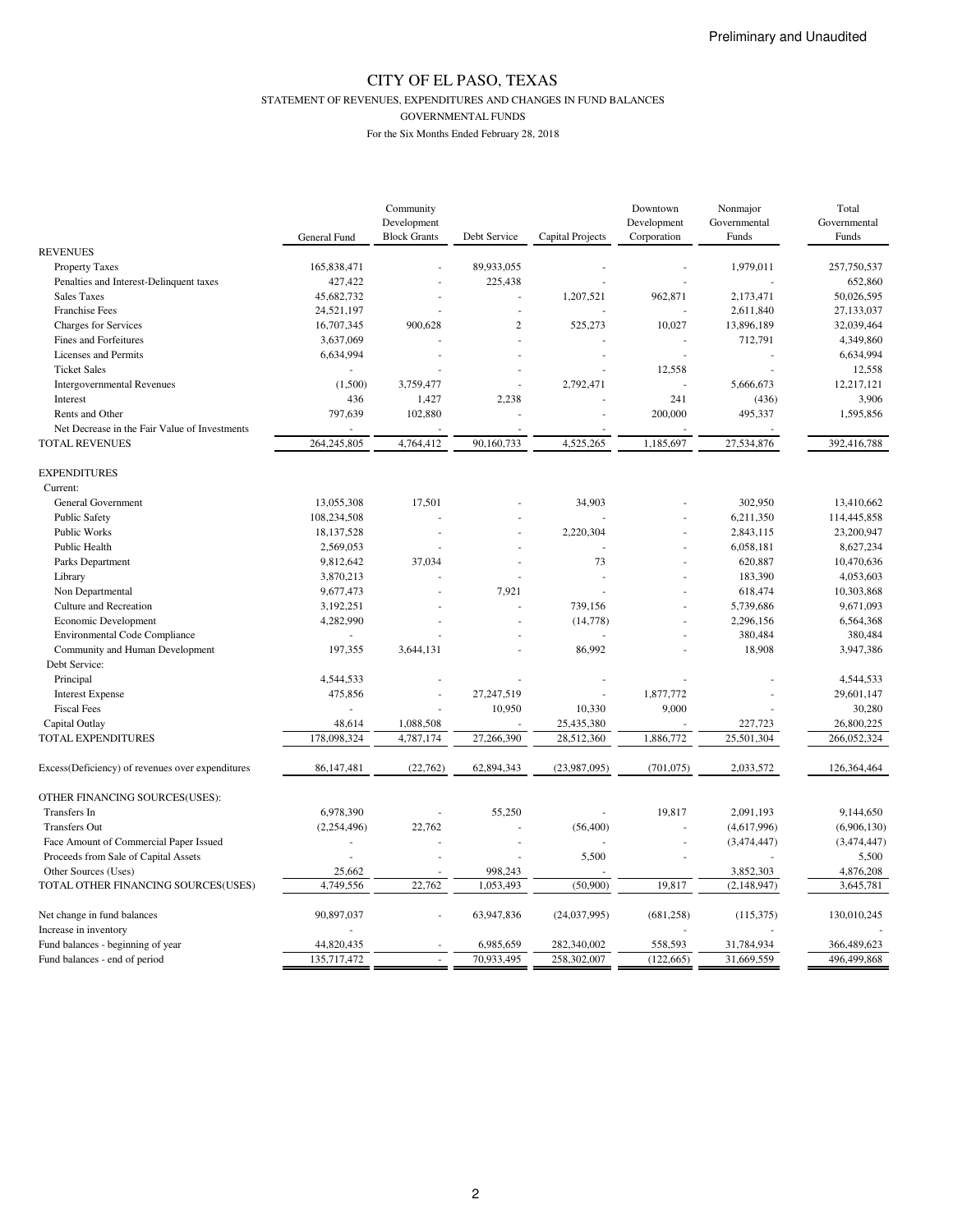STATEMENT OF REVENUES, EXPENDITURES AND CHANGES IN FUND BALANCES

GOVERNMENTAL FUNDS

|                                                  |              | Community           |                |                  | Downtown    | Nonmajor     | Total        |
|--------------------------------------------------|--------------|---------------------|----------------|------------------|-------------|--------------|--------------|
|                                                  |              | Development         |                |                  | Development | Governmental | Governmental |
|                                                  | General Fund | <b>Block Grants</b> | Debt Service   | Capital Projects | Corporation | Funds        | Funds        |
| <b>REVENUES</b>                                  |              |                     |                |                  |             |              |              |
| <b>Property Taxes</b>                            | 165,838,471  |                     | 89,933,055     |                  |             | 1,979,011    | 257,750,537  |
| Penalties and Interest-Delinquent taxes          | 427,422      |                     | 225,438        |                  |             |              | 652,860      |
| <b>Sales Taxes</b>                               | 45,682,732   |                     |                | 1,207,521        | 962,871     | 2,173,471    | 50,026,595   |
| <b>Franchise Fees</b>                            | 24,521,197   |                     |                |                  |             | 2,611,840    | 27,133,037   |
| Charges for Services                             | 16,707,345   | 900,628             | $\overline{c}$ | 525,273          | 10,027      | 13,896,189   | 32,039,464   |
| Fines and Forfeitures                            | 3,637,069    |                     |                |                  |             | 712,791      | 4,349,860    |
| Licenses and Permits                             | 6,634,994    |                     |                |                  |             |              | 6,634,994    |
| <b>Ticket Sales</b>                              |              |                     |                |                  | 12,558      |              | 12,558       |
| <b>Intergovernmental Revenues</b>                | (1,500)      | 3,759,477           |                | 2,792,471        |             | 5,666,673    | 12,217,121   |
| Interest                                         | 436          | 1,427               | 2,238          |                  | 241         | (436)        | 3,906        |
| Rents and Other                                  | 797,639      | 102,880             |                |                  | 200,000     | 495,337      | 1,595,856    |
| Net Decrease in the Fair Value of Investments    |              |                     |                |                  |             |              |              |
| <b>TOTAL REVENUES</b>                            | 264,245,805  | 4,764,412           | 90,160,733     | 4,525,265        | 1,185,697   | 27,534,876   | 392,416,788  |
|                                                  |              |                     |                |                  |             |              |              |
| <b>EXPENDITURES</b>                              |              |                     |                |                  |             |              |              |
| Current:                                         |              |                     |                |                  |             |              |              |
| <b>General Government</b>                        | 13,055,308   | 17,501              |                | 34,903           |             | 302,950      | 13,410,662   |
| <b>Public Safety</b>                             | 108,234,508  |                     |                |                  |             | 6,211,350    | 114,445,858  |
| Public Works                                     | 18,137,528   |                     |                | 2,220,304        |             | 2,843,115    | 23,200,947   |
| Public Health                                    | 2,569,053    |                     |                |                  |             | 6,058,181    | 8,627,234    |
| Parks Department                                 | 9,812,642    | 37,034              |                | 73               |             | 620,887      | 10,470,636   |
| Library                                          | 3,870,213    |                     |                |                  |             | 183,390      | 4,053,603    |
| Non Departmental                                 | 9,677,473    |                     | 7,921          |                  |             | 618,474      | 10,303,868   |
| Culture and Recreation                           | 3,192,251    |                     |                | 739,156          |             | 5,739,686    | 9,671,093    |
| Economic Development                             | 4,282,990    |                     |                | (14, 778)        |             | 2,296,156    | 6,564,368    |
| <b>Environmental Code Compliance</b>             | $\sim$       |                     |                |                  |             | 380,484      | 380,484      |
| Community and Human Development                  | 197,355      | 3,644,131           |                | 86,992           |             | 18,908       | 3,947,386    |
| Debt Service:                                    |              |                     |                |                  |             |              |              |
| Principal                                        | 4,544,533    |                     |                |                  |             |              | 4,544,533    |
| <b>Interest Expense</b>                          | 475,856      |                     | 27,247,519     |                  | 1,877,772   |              | 29,601,147   |
| <b>Fiscal Fees</b>                               |              |                     | 10,950         | 10,330           | 9,000       |              | 30,280       |
| Capital Outlay                                   | 48,614       | 1,088,508           |                | 25,435,380       |             | 227,723      | 26,800,225   |
| TOTAL EXPENDITURES                               | 178,098,324  | 4,787,174           | 27,266,390     | 28,512,360       | 1,886,772   | 25,501,304   | 266,052,324  |
|                                                  |              |                     |                |                  |             |              |              |
| Excess(Deficiency) of revenues over expenditures | 86,147,481   | (22,762)            | 62,894,343     | (23,987,095)     | (701, 075)  | 2,033,572    | 126,364,464  |
|                                                  |              |                     |                |                  |             |              |              |
| OTHER FINANCING SOURCES(USES):                   |              |                     |                |                  |             |              |              |
| Transfers In                                     | 6,978,390    |                     | 55,250         |                  | 19,817      | 2,091,193    | 9,144,650    |
| <b>Transfers Out</b>                             | (2,254,496)  | 22,762              |                | (56, 400)        |             | (4,617,996)  | (6,906,130)  |
| Face Amount of Commercial Paper Issued           |              |                     |                |                  |             | (3,474,447)  | (3,474,447)  |
| Proceeds from Sale of Capital Assets             |              |                     |                | 5,500            |             |              | 5,500        |
| Other Sources (Uses)                             | 25,662       |                     | 998,243        |                  |             | 3,852,303    | 4,876,208    |
| TOTAL OTHER FINANCING SOURCES(USES)              | 4,749,556    | 22,762              | 1,053,493      | (50,900)         | 19,817      | (2,148,947)  | 3,645,781    |
|                                                  |              |                     |                |                  |             |              |              |
| Net change in fund balances                      | 90,897,037   |                     | 63,947,836     | (24,037,995)     | (681, 258)  | (115, 375)   | 130,010,245  |
| Increase in inventory                            |              |                     |                |                  |             |              |              |
| Fund balances - beginning of year                | 44,820,435   |                     | 6,985,659      | 282,340,002      | 558,593     | 31,784,934   | 366,489,623  |
| Fund balances - end of period                    | 135,717,472  |                     | 70,933,495     | 258,302,007      | (122, 665)  | 31,669,559   | 496,499,868  |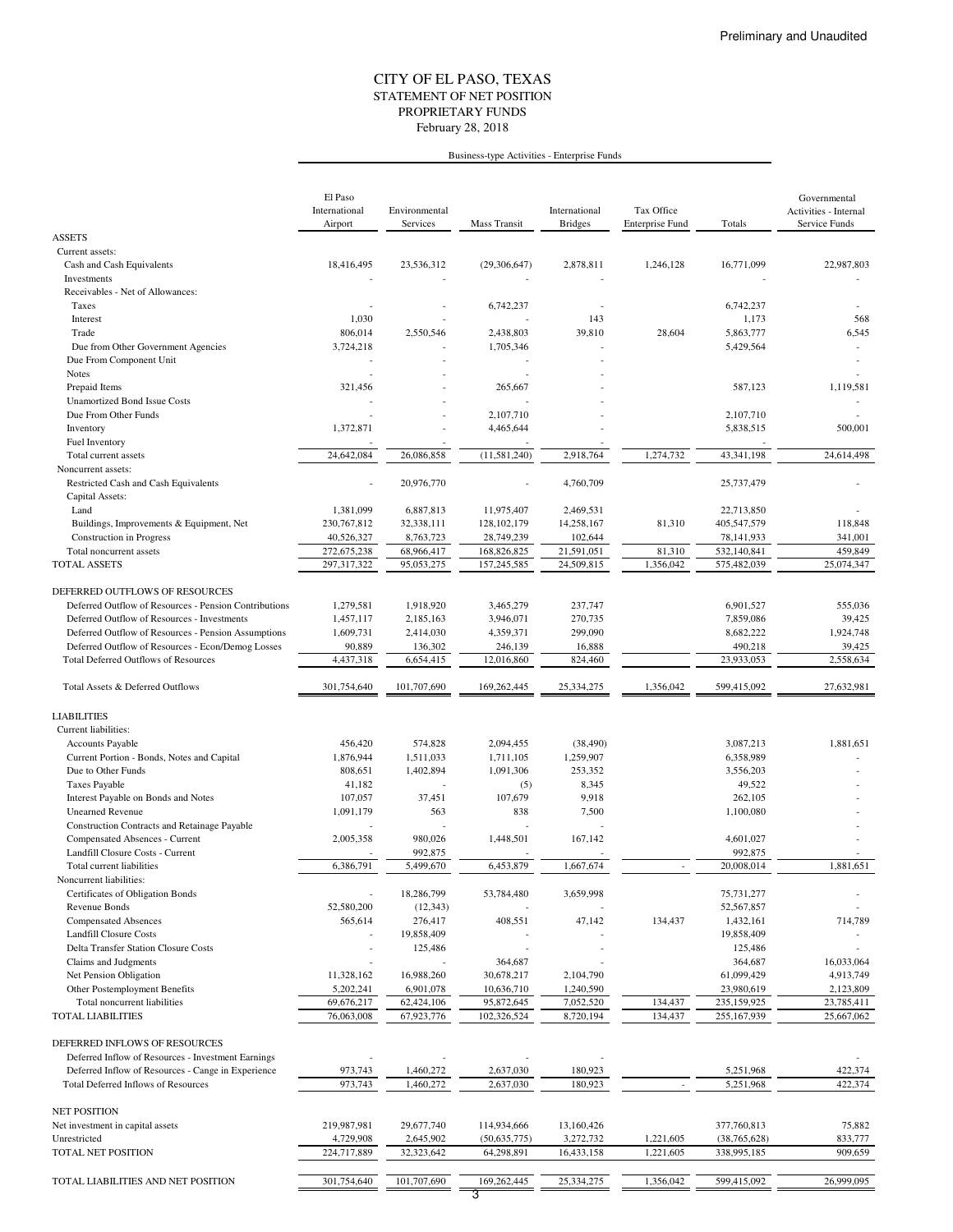### STATEMENT OF NET POSITION CITY OF EL PASO, TEXAS February 28, 2018 PROPRIETARY FUNDS

#### Business-type Activities - Enterprise Funds

|                                                                               | El Paso<br>International<br>Airport | Environmental<br>Services | Mass Transit                | International<br><b>Bridges</b> | Tax Office<br><b>Enterprise Fund</b> | Totals                        | Governmental<br>Activities - Internal<br>Service Funds |
|-------------------------------------------------------------------------------|-------------------------------------|---------------------------|-----------------------------|---------------------------------|--------------------------------------|-------------------------------|--------------------------------------------------------|
| <b>ASSETS</b>                                                                 |                                     |                           |                             |                                 |                                      |                               |                                                        |
| Current assets:<br>Cash and Cash Equivalents                                  | 18,416,495                          | 23,536,312                | (29,306,647)                | 2,878,811                       | 1,246,128                            | 16,771,099                    | 22,987,803                                             |
| Investments<br>Receivables - Net of Allowances:                               |                                     |                           |                             |                                 |                                      |                               |                                                        |
| Taxes                                                                         |                                     |                           | 6,742,237                   |                                 |                                      | 6,742,237                     |                                                        |
| Interest                                                                      | 1,030                               |                           |                             | 143                             |                                      | 1,173                         | 568                                                    |
| Trade                                                                         | 806,014                             | 2,550,546                 | 2,438,803                   | 39,810                          | 28,604                               | 5,863,777                     | 6,545                                                  |
| Due from Other Government Agencies                                            | 3,724,218                           |                           | 1,705,346                   |                                 |                                      | 5,429,564                     |                                                        |
| Due From Component Unit<br>Notes                                              |                                     |                           |                             |                                 |                                      |                               |                                                        |
| Prepaid Items                                                                 | 321,456                             |                           | 265,667                     |                                 |                                      | 587,123                       | 1,119,581                                              |
| <b>Unamortized Bond Issue Costs</b>                                           |                                     |                           |                             |                                 |                                      |                               |                                                        |
| Due From Other Funds                                                          |                                     |                           | 2,107,710                   |                                 |                                      | 2,107,710                     |                                                        |
| Inventory                                                                     | 1,372,871                           |                           | 4,465,644                   |                                 |                                      | 5,838,515                     | 500,001                                                |
| Fuel Inventory                                                                |                                     |                           |                             |                                 |                                      |                               |                                                        |
| Total current assets                                                          | 24,642,084                          | 26,086,858                | (11, 581, 240)              | 2,918,764                       | 1,274,732                            | 43,341,198                    | 24,614,498                                             |
| Noncurrent assets:<br>Restricted Cash and Cash Equivalents<br>Capital Assets: |                                     | 20,976,770                |                             | 4,760,709                       |                                      | 25,737,479                    |                                                        |
| Land                                                                          | 1,381,099                           | 6,887,813                 | 11,975,407                  | 2,469,531                       |                                      | 22,713,850                    |                                                        |
| Buildings, Improvements & Equipment, Net                                      | 230, 767, 812                       | 32,338,111                | 128,102,179                 | 14,258,167                      | 81,310                               | 405,547,579                   | 118,848                                                |
| Construction in Progress                                                      | 40,526,327                          | 8,763,723                 | 28,749,239                  | 102,644                         |                                      | 78,141,933                    | 341,001                                                |
| Total noncurrent assets                                                       | 272,675,238                         | 68,966,417                | 168,826,825                 | 21,591,051                      | 81,310                               | 532,140,841                   | 459,849                                                |
| TOTAL ASSETS                                                                  | 297,317,322                         | 95,053,275                | 157,245,585                 | 24,509,815                      | 1,356,042                            | 575,482,039                   | 25,074,347                                             |
| DEFERRED OUTFLOWS OF RESOURCES                                                |                                     |                           |                             |                                 |                                      |                               |                                                        |
| Deferred Outflow of Resources - Pension Contributions                         | 1,279,581                           | 1,918,920                 | 3,465,279                   | 237,747                         |                                      | 6,901,527                     | 555,036                                                |
| Deferred Outflow of Resources - Investments                                   | 1,457,117                           | 2,185,163                 | 3,946,071                   | 270,735                         |                                      | 7,859,086                     | 39,425                                                 |
| Deferred Outflow of Resources - Pension Assumptions                           | 1,609,731                           | 2,414,030                 | 4,359,371                   | 299,090                         |                                      | 8,682,222                     | 1,924,748                                              |
| Deferred Outflow of Resources - Econ/Demog Losses                             | 90,889                              | 136,302                   | 246,139                     | 16,888                          |                                      | 490,218                       | 39,425                                                 |
| <b>Total Deferred Outflows of Resources</b>                                   | 4,437,318                           | 6,654,415                 | 12,016,860                  | 824,460                         |                                      | 23,933,053                    | 2,558,634                                              |
| Total Assets & Deferred Outflows                                              | 301,754,640                         | 101,707,690               | 169,262,445                 | 25,334,275                      | 1,356,042                            | 599,415,092                   | 27,632,981                                             |
| <b>LIABILITIES</b>                                                            |                                     |                           |                             |                                 |                                      |                               |                                                        |
| Current liabilities:                                                          |                                     |                           |                             |                                 |                                      |                               |                                                        |
| <b>Accounts Payable</b>                                                       | 456,420                             | 574,828                   | 2,094,455                   | (38, 490)                       |                                      | 3,087,213                     | 1,881,651                                              |
| Current Portion - Bonds, Notes and Capital                                    | 1,876,944                           | 1,511,033                 | 1,711,105                   | 1,259,907                       |                                      | 6,358,989                     |                                                        |
| Due to Other Funds                                                            | 808,651                             | 1,402,894                 | 1,091,306                   | 253,352                         |                                      | 3,556,203                     |                                                        |
| <b>Taxes Payable</b>                                                          | 41,182                              |                           | (5)                         | 8,345                           |                                      | 49,522                        |                                                        |
| Interest Payable on Bonds and Notes                                           | 107,057                             | 37,451                    | 107,679                     | 9,918                           |                                      | 262,105<br>1,100,080          |                                                        |
| <b>Unearned Revenue</b><br>Construction Contracts and Retainage Payable       | 1,091,179                           | 563                       | 838                         | 7,500                           |                                      |                               |                                                        |
| Compensated Absences - Current                                                | 2,005,358                           | 980,026                   | 1,448,501                   | 167,142                         |                                      | 4,601,027                     |                                                        |
| Landfill Closure Costs - Current                                              |                                     | 992,875                   |                             |                                 |                                      | 992,875                       |                                                        |
| Total current liabilities                                                     | 6,386,791                           | 5,499,670                 | 6,453,879                   | 1,667,674                       | $\overline{\phantom{a}}$             | 20,008,014                    | 1,881,651                                              |
| Noncurrent liabilities:                                                       |                                     |                           |                             |                                 |                                      |                               |                                                        |
| Certificates of Obligation Bonds                                              |                                     | 18,286,799                | 53,784,480                  | 3,659,998                       |                                      | 75,731,277                    |                                                        |
| Revenue Bonds<br><b>Compensated Absences</b>                                  | 52,580,200<br>565,614               | (12, 343)<br>276,417      | 408,551                     | 47,142                          | 134,437                              | 52,567,857<br>1,432,161       | 714,789                                                |
| <b>Landfill Closure Costs</b>                                                 |                                     | 19,858,409                |                             |                                 |                                      | 19,858,409                    |                                                        |
| Delta Transfer Station Closure Costs                                          |                                     | 125,486                   |                             |                                 |                                      | 125,486                       |                                                        |
| Claims and Judgments                                                          |                                     |                           | 364,687                     |                                 |                                      | 364,687                       | 16,033,064                                             |
| Net Pension Obligation                                                        | 11,328,162                          | 16,988,260                | 30,678,217                  | 2,104,790                       |                                      | 61,099,429                    | 4,913,749                                              |
| Other Postemployment Benefits                                                 | 5,202,241                           | 6,901,078                 | 10,636,710                  | 1,240,590                       |                                      | 23,980,619                    | 2,123,809                                              |
| Total noncurrent liabilities<br>TOTAL LIABILITIES                             | 69,676,217<br>76,063,008            | 62,424,106<br>67,923,776  | 95,872,645<br>102,326,524   | 7,052,520<br>8,720,194          | 134,437<br>134,437                   | 235,159,925<br>255,167,939    | 23,785,411<br>25,667,062                               |
|                                                                               |                                     |                           |                             |                                 |                                      |                               |                                                        |
| DEFERRED INFLOWS OF RESOURCES                                                 |                                     |                           |                             |                                 |                                      |                               |                                                        |
| Deferred Inflow of Resources - Investment Earnings                            |                                     |                           |                             |                                 |                                      |                               |                                                        |
| Deferred Inflow of Resources - Cange in Experience                            | 973,743                             | 1,460,272                 | 2,637,030                   | 180,923                         |                                      | 5,251,968                     | 422,374                                                |
| Total Deferred Inflows of Resources                                           | 973,743                             | 1,460,272                 | 2,637,030                   | 180,923                         |                                      | 5,251,968                     | 422,374                                                |
| <b>NET POSITION</b>                                                           |                                     |                           |                             |                                 |                                      |                               |                                                        |
| Net investment in capital assets<br>Unrestricted                              | 219,987,981<br>4,729,908            | 29,677,740<br>2,645,902   | 114,934,666<br>(50,635,775) | 13,160,426<br>3,272,732         | 1,221,605                            | 377,760,813<br>(38, 765, 628) | 75,882<br>833,777                                      |
| TOTAL NET POSITION                                                            | 224,717,889                         | 32,323,642                | 64,298,891                  | 16,433,158                      | 1,221,605                            | 338,995,185                   | 909,659                                                |
|                                                                               |                                     |                           |                             |                                 |                                      |                               |                                                        |
| TOTAL LIABILITIES AND NET POSITION                                            | 301,754,640                         | 101,707,690               | 169,262,445                 | 25,334,275                      | 1,356,042                            | 599,415,092                   | 26,999,095                                             |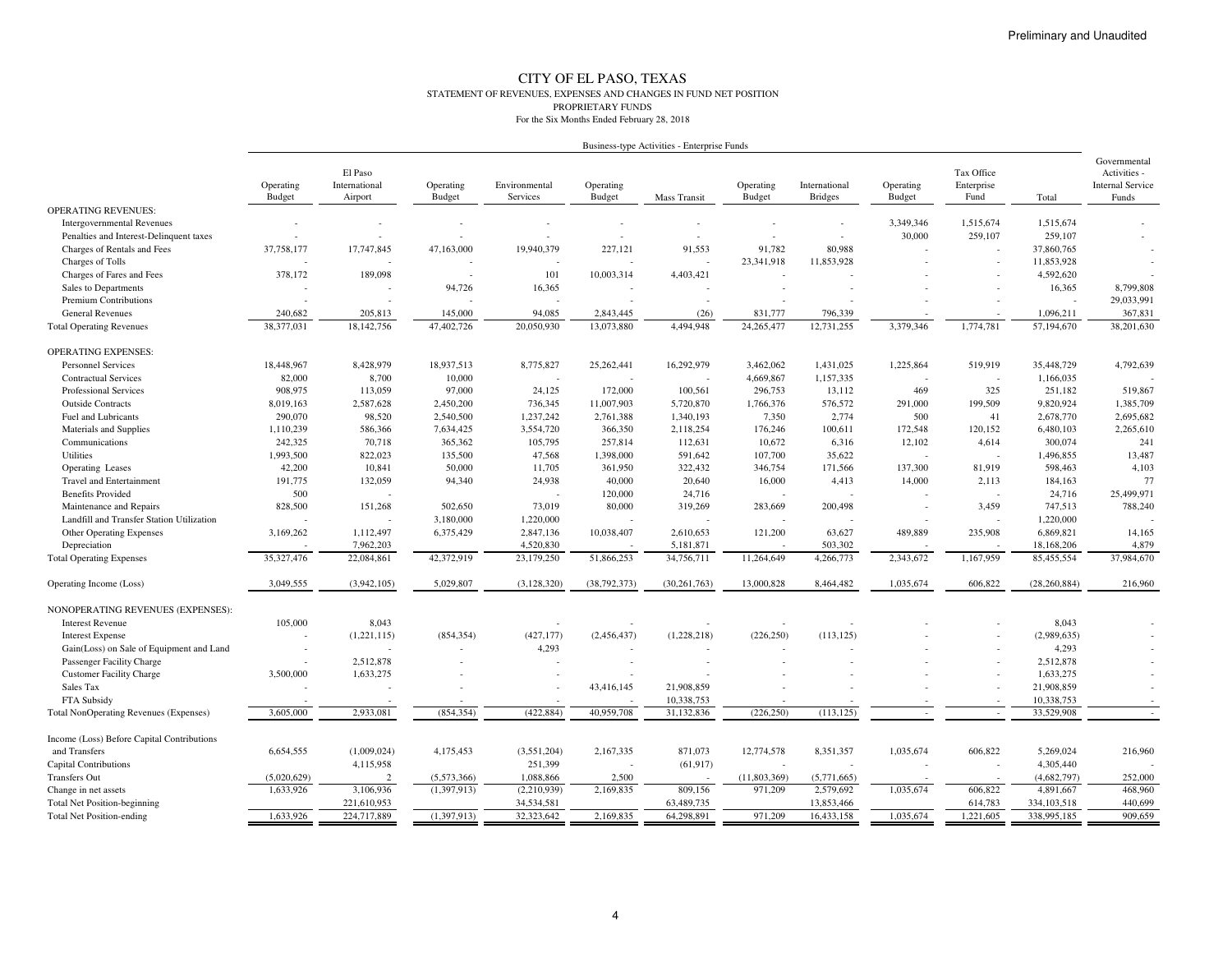#### CITY OF EL PASO, TEXAS STATEMENT OF REVENUES, EXPENSES AND CHANGES IN FUND NET POSITIONPROPRIETARY FUNDSFor the Six Months Ended February 28, 2018

|                                               |                     |                                     |                     |                           |                     | Business-type Activities - Enterprise Funds |                     |                                 |                            |                                  |                |                                                                  |
|-----------------------------------------------|---------------------|-------------------------------------|---------------------|---------------------------|---------------------|---------------------------------------------|---------------------|---------------------------------|----------------------------|----------------------------------|----------------|------------------------------------------------------------------|
|                                               | Operating<br>Budget | El Paso<br>International<br>Airport | Operating<br>Budget | Environmental<br>Services | Operating<br>Budget | Mass Transit                                | Operating<br>Budget | International<br><b>Bridges</b> | Operating<br><b>Budget</b> | Tax Office<br>Enterprise<br>Fund | Total          | Governmental<br>Activities -<br><b>Internal Service</b><br>Funds |
| <b>OPERATING REVENUES:</b>                    |                     |                                     |                     |                           |                     |                                             |                     |                                 |                            |                                  |                |                                                                  |
| <b>Intergovernmental Revenues</b>             |                     | $\overline{\phantom{a}}$            |                     |                           |                     |                                             |                     |                                 | 3,349,346                  | 1,515,674                        | 1,515,674      |                                                                  |
| Penalties and Interest-Delinquent taxes       |                     |                                     |                     |                           |                     |                                             |                     | $\overline{a}$                  | 30,000                     | 259,107                          | 259,107        |                                                                  |
| Charges of Rentals and Fees                   | 37,758,177          | 17,747,845                          | 47,163,000          | 19,940,379                | 227,121             | 91,553                                      | 91,782              | 80.988                          |                            |                                  | 37,860,765     |                                                                  |
| Charges of Tolls                              |                     |                                     |                     |                           |                     |                                             | 23,341,918          | 11,853,928                      |                            |                                  | 11,853,928     |                                                                  |
| Charges of Fares and Fees                     | 378,172             | 189,098                             | $\sim$              | 101                       | 10,003,314          | 4,403,421                                   |                     |                                 |                            |                                  | 4,592,620      |                                                                  |
| Sales to Departments                          |                     |                                     | 94,726              | 16,365                    | $\sim$              |                                             |                     |                                 |                            |                                  | 16,365         | 8,799,808                                                        |
| Premium Contributions                         |                     |                                     |                     |                           |                     | $\overline{\phantom{a}}$                    |                     |                                 |                            |                                  |                | 29,033,991                                                       |
| <b>General Revenues</b>                       | 240,682             | 205,813                             | 145,000             | 94,085                    | 2,843,445           | (26)                                        | 831,777             | 796,339                         |                            |                                  | 1,096,211      | 367,831                                                          |
| <b>Total Operating Revenues</b>               | 38,377,031          | 18,142,756                          | 47,402,726          | 20,050,930                | 13,073,880          | 4,494,948                                   | 24,265,477          | 12,731,255                      | 3,379,346                  | 1,774,781                        | 57,194,670     | 38,201,630                                                       |
| <b>OPERATING EXPENSES:</b>                    |                     |                                     |                     |                           |                     |                                             |                     |                                 |                            |                                  |                |                                                                  |
| <b>Personnel Services</b>                     | 18,448,967          | 8,428,979                           | 18,937,513          | 8,775,827                 | 25,262,441          | 16,292,979                                  | 3,462,062           | 1,431,025                       | 1,225,864                  | 519,919                          | 35,448,729     | 4,792,639                                                        |
| <b>Contractual Services</b>                   | 82,000              | 8,700                               | 10,000              |                           |                     |                                             | 4,669,867           | 1,157,335                       |                            |                                  | 1,166,035      |                                                                  |
| <b>Professional Services</b>                  | 908,975             | 113,059                             | 97,000              | 24.125                    | 172,000             | 100,561                                     | 296,753             | 13.112                          | 469                        | 325                              | 251.182        | 519,867                                                          |
| <b>Outside Contracts</b>                      | 8,019,163           | 2,587,628                           | 2,450,200           | 736,345                   | 11,007,903          | 5,720,870                                   | 1,766,376           | 576,572                         | 291,000                    | 199,509                          | 9,820,924      | 1,385,709                                                        |
| Fuel and Lubricants                           | 290,070             | 98,520                              | 2,540,500           | 1,237,242                 | 2,761,388           | 1,340,193                                   | 7,350               | 2,774                           | 500                        | 41                               | 2,678,770      | 2,695,682                                                        |
| Materials and Supplies                        | 1,110,239           | 586,366                             | 7,634,425           | 3,554,720                 | 366,350             | 2,118,254                                   | 176,246             | 100,611                         | 172,548                    | 120,152                          | 6,480,103      | 2,265,610                                                        |
| Communications                                | 242,325             | 70,718                              | 365,362             | 105,795                   | 257,814             | 112,631                                     | 10,672              | 6,316                           | 12,102                     | 4,614                            | 300,074        | 241                                                              |
| Utilities                                     | 1,993,500           | 822,023                             | 135,500             | 47,568                    | 1,398,000           | 591,642                                     | 107,700             | 35,622                          |                            |                                  | 1,496,855      | 13,487                                                           |
| Operating Leases                              | 42,200              | 10,841                              | 50,000              | 11,705                    | 361,950             | 322,432                                     | 346,754             | 171,566                         | 137,300                    | 81,919                           | 598,463        | 4,103                                                            |
| <b>Travel and Entertainment</b>               | 191,775             | 132,059                             | 94,340              | 24,938                    | 40,000              | 20,640                                      | 16,000              | 4,413                           | 14,000                     | 2,113                            | 184,163        | 77                                                               |
| <b>Benefits Provided</b>                      | 500                 |                                     |                     |                           | 120,000             | 24,716                                      |                     |                                 |                            |                                  | 24,716         | 25,499,971                                                       |
| Maintenance and Repairs                       | 828,500             | 151,268                             | 502,650             | 73,019                    | 80,000              | 319,269                                     | 283,669             | 200,498                         |                            | 3,459                            | 747,513        | 788,240                                                          |
| Landfill and Transfer Station Utilization     |                     |                                     | 3,180,000           | 1,220,000                 |                     |                                             |                     |                                 |                            |                                  | 1,220,000      |                                                                  |
| <b>Other Operating Expenses</b>               | 3,169,262           | 1,112,497                           | 6,375,429           | 2,847,136                 | 10,038,407          | 2,610,653                                   | 121,200             | 63,627                          | 489,889                    | 235,908                          | 6,869,821      | 14,165                                                           |
| Depreciation                                  |                     | 7,962,203                           |                     | 4,520,830                 |                     | 5,181,871                                   |                     | 503,302                         |                            |                                  | 18,168,206     | 4,879                                                            |
| <b>Total Operating Expenses</b>               | 35,327,476          | 22,084,861                          | 42,372,919          | 23,179,250                | 51,866,253          | 34,756,711                                  | 11,264,649          | 4,266,773                       | 2,343,672                  | 1,167,959                        | 85,455,554     | 37,984,670                                                       |
| Operating Income (Loss)                       | 3,049,555           | (3,942,105)                         | 5,029,807           | (3, 128, 320)             | (38, 792, 373)      | (30, 261, 763)                              | 13,000,828          | 8,464,482                       | 1,035,674                  | 606.822                          | (28, 260, 884) | 216,960                                                          |
| NONOPERATING REVENUES (EXPENSES):             |                     |                                     |                     |                           |                     |                                             |                     |                                 |                            |                                  |                |                                                                  |
| <b>Interest Revenue</b>                       | 105,000             | 8,043                               |                     |                           |                     |                                             |                     |                                 |                            |                                  | 8,043          |                                                                  |
| <b>Interest Expense</b>                       |                     | (1,221,115)                         | (854, 354)          | (427, 177)                | (2,456,437)         | (1,228,218)                                 | (226, 250)          | (113, 125)                      |                            |                                  | (2,989,635)    |                                                                  |
| Gain(Loss) on Sale of Equipment and Land      | ÷                   |                                     |                     | 4,293                     |                     |                                             |                     |                                 |                            |                                  | 4,293          |                                                                  |
| Passenger Facility Charge                     |                     | 2,512,878                           |                     |                           |                     |                                             |                     |                                 |                            |                                  | 2,512,878      |                                                                  |
| <b>Customer Facility Charge</b>               | 3,500,000           | 1,633,275                           |                     |                           |                     |                                             |                     |                                 |                            |                                  | 1,633,275      |                                                                  |
| Sales Tax                                     |                     |                                     |                     |                           | 43,416,145          | 21,908,859                                  |                     |                                 |                            |                                  | 21,908,859     |                                                                  |
| FTA Subsidy                                   |                     |                                     |                     |                           |                     | 10,338,753                                  |                     |                                 |                            |                                  | 10,338,753     |                                                                  |
| <b>Total NonOperating Revenues (Expenses)</b> | 3,605,000           | 2,933,081                           | (854.354)           | (422.884)                 | 40,959,708          | 31,132,836                                  | (226.250)           | (113.125)                       |                            | $\sim$                           | 33,529,908     | $\sim$                                                           |
| Income (Loss) Before Capital Contributions    |                     |                                     |                     |                           |                     |                                             |                     |                                 |                            |                                  |                |                                                                  |
| and Transfers                                 | 6.654.555           | (1,009,024)                         | 4.175.453           | (3,551,204)               | 2,167,335           | 871.073                                     | 12,774,578          | 8,351,357                       | 1,035,674                  | 606.822                          | 5.269.024      | 216,960                                                          |
| <b>Capital Contributions</b>                  |                     | 4,115,958                           |                     | 251,399                   |                     | (61, 917)                                   |                     |                                 |                            |                                  | 4,305,440      |                                                                  |
| <b>Transfers Out</b>                          | (5,020,629)         | $\mathcal{D}$                       | (5,573,366)         | 1,088,866                 | 2,500               |                                             | (11,803,369)        | (5,771,665)                     |                            |                                  | (4,682,797)    | 252,000                                                          |
| Change in net assets                          | 1,633,926           | 3,106,936                           | (1,397,913)         | (2,210,939)               | 2,169,835           | 809,156                                     | 971,209             | 2,579,692                       | 1,035,674                  | 606,822                          | 4,891,667      | 468,960                                                          |
| <b>Total Net Position-beginning</b>           |                     | 221,610,953                         |                     | 34,534,581                |                     | 63,489,735                                  |                     | 13,853,466                      |                            | 614,783                          | 334, 103, 518  | 440,699                                                          |
| <b>Total Net Position-ending</b>              | 1,633,926           | 224,717,889                         | (1,397,913)         | 32,323,642                | 2,169,835           | 64,298,891                                  | 971,209             | 16,433,158                      | 1,035,674                  | 1,221,605                        | 338,995,185    | 909,659                                                          |
|                                               |                     |                                     |                     |                           |                     |                                             |                     |                                 |                            |                                  |                |                                                                  |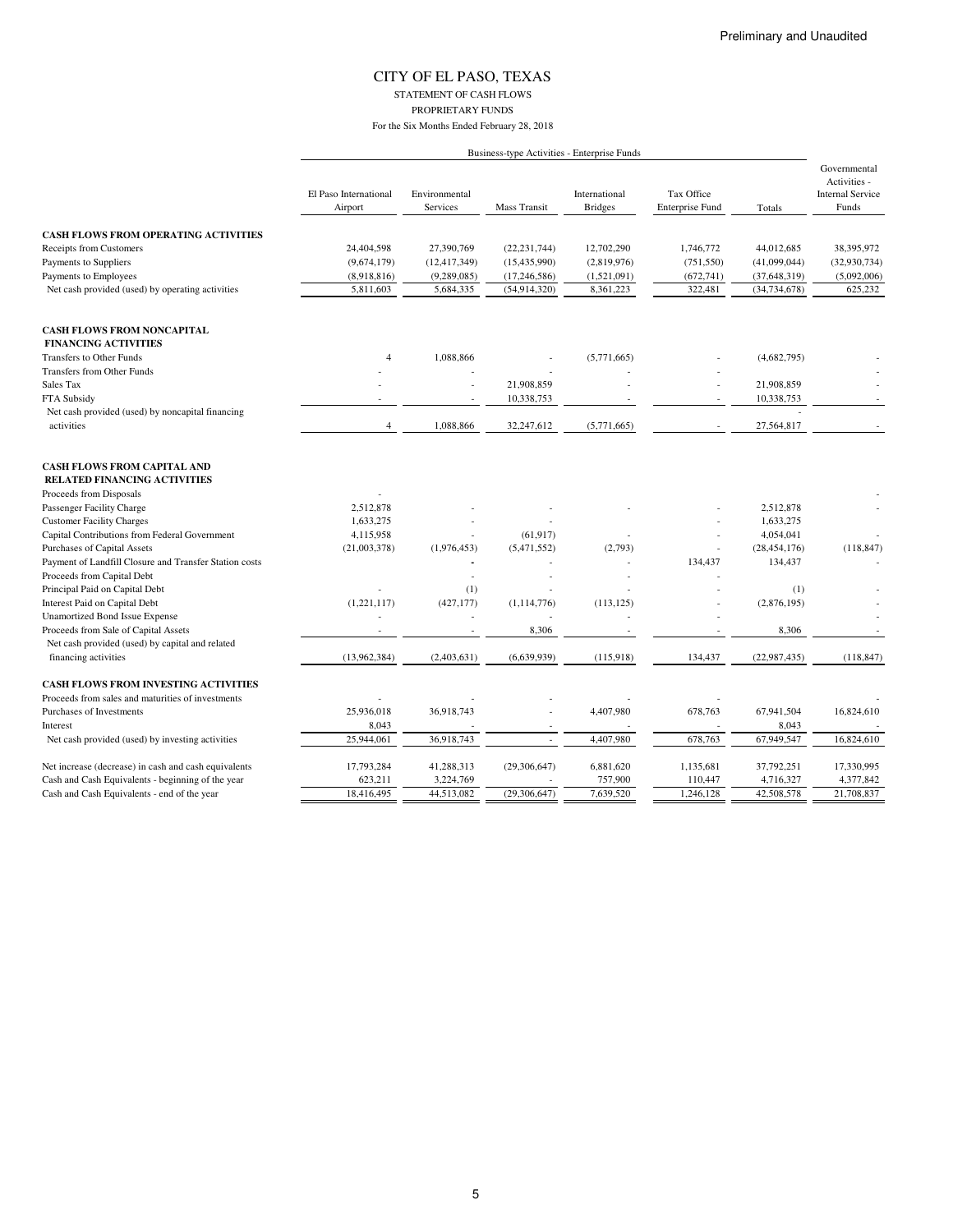### CITY OF EL PASO, TEXAS STATEMENT OF CASH FLOWS PROPRIETARY FUNDS

|                                                                           |                                  |                           |                          | Business-type Activities - Enterprise Funds |                                      |                |                                                                  |
|---------------------------------------------------------------------------|----------------------------------|---------------------------|--------------------------|---------------------------------------------|--------------------------------------|----------------|------------------------------------------------------------------|
|                                                                           | El Paso International<br>Airport | Environmental<br>Services | <b>Mass Transit</b>      | International<br><b>Bridges</b>             | Tax Office<br><b>Enterprise Fund</b> | Totals         | Governmental<br>Activities -<br><b>Internal Service</b><br>Funds |
| <b>CASH FLOWS FROM OPERATING ACTIVITIES</b>                               |                                  |                           |                          |                                             |                                      |                |                                                                  |
| Receipts from Customers                                                   | 24,404,598                       | 27,390,769                | (22, 231, 744)           | 12,702,290                                  | 1,746,772                            | 44,012,685     | 38,395,972                                                       |
| Payments to Suppliers                                                     | (9,674,179)                      | (12, 417, 349)            | (15, 435, 990)           | (2,819,976)                                 | (751, 550)                           | (41,099,044)   | (32,930,734)                                                     |
| Payments to Employees                                                     | (8,918,816)                      | (9, 289, 085)             | (17, 246, 586)           | (1,521,091)                                 | (672, 741)                           | (37, 648, 319) | (5,092,006)                                                      |
| Net cash provided (used) by operating activities                          | 5,811,603                        | 5,684,335                 | (54, 914, 320)           | 8,361,223                                   | 322,481                              | (34, 734, 678) | 625,232                                                          |
| <b>CASH FLOWS FROM NONCAPITAL</b>                                         |                                  |                           |                          |                                             |                                      |                |                                                                  |
| <b>FINANCING ACTIVITIES</b>                                               |                                  |                           |                          |                                             |                                      |                |                                                                  |
| <b>Transfers to Other Funds</b>                                           | $\overline{4}$                   | 1,088,866                 |                          | (5,771,665)                                 |                                      | (4,682,795)    |                                                                  |
| Transfers from Other Funds                                                |                                  |                           |                          |                                             |                                      |                |                                                                  |
| Sales Tax                                                                 |                                  |                           | 21,908,859               |                                             |                                      | 21,908,859     |                                                                  |
| FTA Subsidy                                                               |                                  |                           | 10,338,753               |                                             |                                      | 10,338,753     |                                                                  |
| Net cash provided (used) by noncapital financing                          |                                  |                           |                          |                                             |                                      |                |                                                                  |
| activities                                                                | 4                                | 1,088,866                 | 32,247,612               | (5,771,665)                                 |                                      | 27,564,817     |                                                                  |
| <b>CASH FLOWS FROM CAPITAL AND</b><br><b>RELATED FINANCING ACTIVITIES</b> |                                  |                           |                          |                                             |                                      |                |                                                                  |
| Proceeds from Disposals                                                   |                                  |                           |                          |                                             |                                      |                |                                                                  |
| Passenger Facility Charge                                                 | 2,512,878                        |                           |                          |                                             |                                      | 2,512,878      |                                                                  |
| <b>Customer Facility Charges</b>                                          | 1,633,275                        |                           |                          |                                             |                                      | 1,633,275      |                                                                  |
| Capital Contributions from Federal Government                             | 4,115,958                        |                           | (61, 917)                |                                             |                                      | 4,054,041      |                                                                  |
| Purchases of Capital Assets                                               | (21,003,378)                     | (1,976,453)               | (5,471,552)              | (2,793)                                     |                                      | (28, 454, 176) | (118, 847)                                                       |
| Payment of Landfill Closure and Transfer Station costs                    |                                  |                           |                          |                                             | 134,437                              | 134,437        |                                                                  |
| Proceeds from Capital Debt                                                |                                  |                           |                          |                                             |                                      |                |                                                                  |
| Principal Paid on Capital Debt                                            |                                  | (1)                       |                          |                                             |                                      | (1)            |                                                                  |
| Interest Paid on Capital Debt                                             | (1,221,117)                      | (427, 177)                | (1, 114, 776)            | (113, 125)                                  |                                      | (2,876,195)    |                                                                  |
| <b>Unamortized Bond Issue Expense</b>                                     |                                  |                           |                          |                                             |                                      |                |                                                                  |
| Proceeds from Sale of Capital Assets                                      |                                  |                           | 8,306                    |                                             |                                      | 8,306          |                                                                  |
| Net cash provided (used) by capital and related                           |                                  |                           |                          |                                             |                                      |                |                                                                  |
| financing activities                                                      | (13,962,384)                     | (2,403,631)               | (6,639,939)              | (115,918)                                   | 134,437                              | (22,987,435)   | (118, 847)                                                       |
| <b>CASH FLOWS FROM INVESTING ACTIVITIES</b>                               |                                  |                           |                          |                                             |                                      |                |                                                                  |
| Proceeds from sales and maturities of investments                         |                                  |                           |                          |                                             |                                      |                |                                                                  |
| Purchases of Investments                                                  | 25,936,018                       | 36,918,743                |                          | 4,407,980                                   | 678,763                              | 67,941,504     | 16,824,610                                                       |
| Interest                                                                  | 8,043                            |                           | $\overline{\phantom{a}}$ |                                             |                                      | 8,043          |                                                                  |
| Net cash provided (used) by investing activities                          | 25,944,061                       | 36,918,743                |                          | 4,407,980                                   | 678,763                              | 67,949,547     | 16,824,610                                                       |
| Net increase (decrease) in cash and cash equivalents                      | 17,793,284                       | 41,288,313                | (29,306,647)             | 6,881,620                                   | 1,135,681                            | 37,792,251     | 17,330,995                                                       |
| Cash and Cash Equivalents - beginning of the year                         | 623,211                          | 3,224,769                 |                          | 757,900                                     | 110,447                              | 4,716,327      | 4,377,842                                                        |
| Cash and Cash Equivalents - end of the year                               | 18,416,495                       | 44,513,082                | (29, 306, 647)           | 7,639,520                                   | 1,246,128                            | 42,508,578     | 21,708,837                                                       |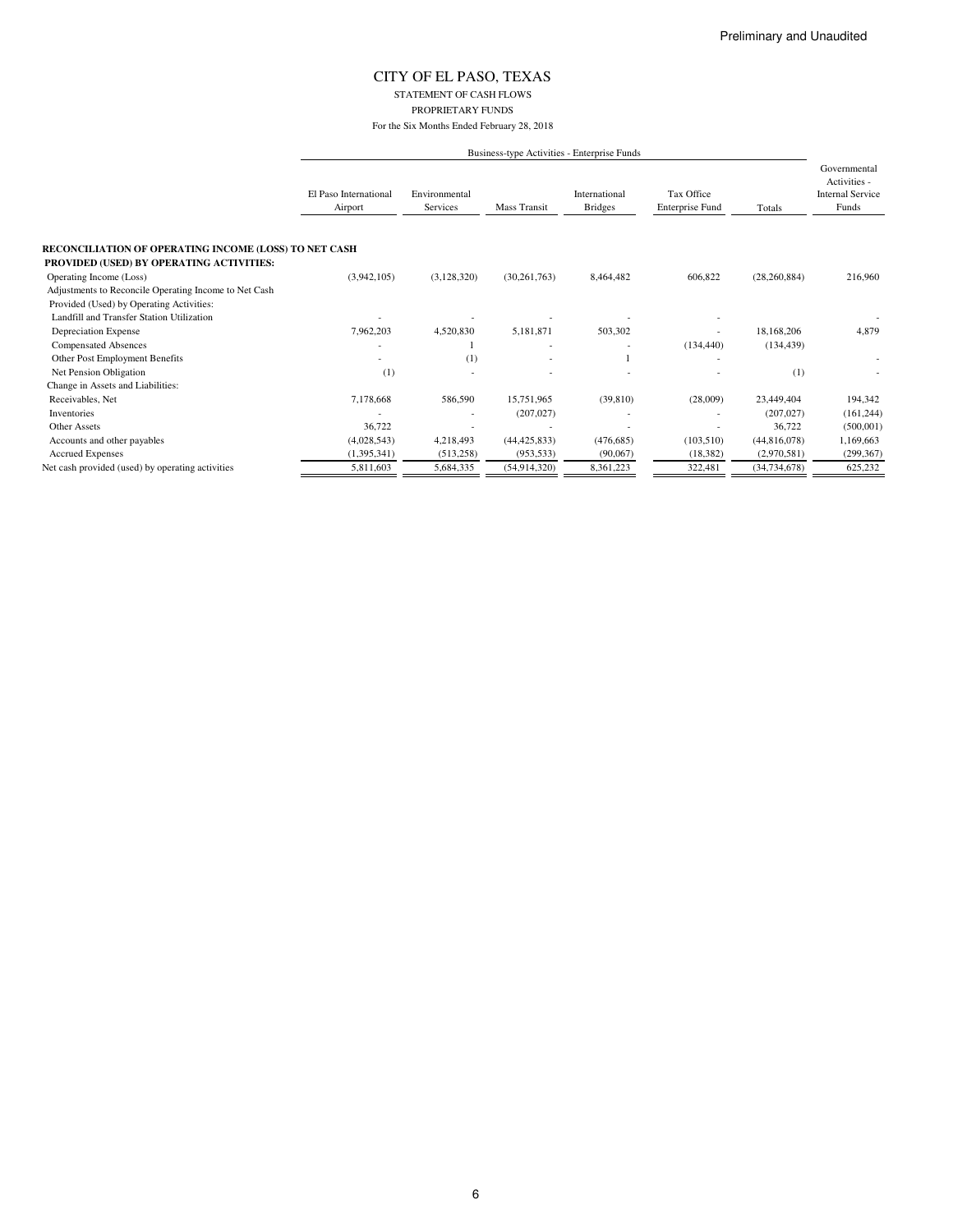### CITY OF EL PASO, TEXAS STATEMENT OF CASH FLOWS PROPRIETARY FUNDS

|                                                                                  | Business-type Activities - Enterprise Funds |                           |                |                                 |                                      |                |                                                                  |  |  |
|----------------------------------------------------------------------------------|---------------------------------------------|---------------------------|----------------|---------------------------------|--------------------------------------|----------------|------------------------------------------------------------------|--|--|
|                                                                                  | El Paso International<br>Airport            | Environmental<br>Services | Mass Transit   | International<br><b>Bridges</b> | Tax Office<br><b>Enterprise Fund</b> | Totals         | Governmental<br>Activities -<br><b>Internal Service</b><br>Funds |  |  |
| RECONCILIATION OF OPERATING INCOME (LOSS) TO NET CASH                            |                                             |                           |                |                                 |                                      |                |                                                                  |  |  |
| PROVIDED (USED) BY OPERATING ACTIVITIES:                                         | (3,942,105)                                 | (3,128,320)               | (30, 261, 763) | 8,464,482                       | 606,822                              | (28, 260, 884) | 216,960                                                          |  |  |
| Operating Income (Loss)<br>Adjustments to Reconcile Operating Income to Net Cash |                                             |                           |                |                                 |                                      |                |                                                                  |  |  |
| Provided (Used) by Operating Activities:                                         |                                             |                           |                |                                 |                                      |                |                                                                  |  |  |
| Landfill and Transfer Station Utilization                                        |                                             |                           |                |                                 |                                      |                |                                                                  |  |  |
| Depreciation Expense                                                             | 7,962,203                                   | 4,520,830                 | 5,181,871      | 503,302                         |                                      | 18,168,206     | 4,879                                                            |  |  |
| <b>Compensated Absences</b>                                                      |                                             |                           |                |                                 | (134, 440)                           | (134, 439)     |                                                                  |  |  |
| Other Post Employment Benefits                                                   |                                             | (1)                       |                |                                 |                                      |                | ٠                                                                |  |  |
| Net Pension Obligation                                                           | (1)                                         |                           |                |                                 |                                      | (1)            |                                                                  |  |  |
| Change in Assets and Liabilities:                                                |                                             |                           |                |                                 |                                      |                |                                                                  |  |  |
| Receivables, Net                                                                 | 7,178,668                                   | 586,590                   | 15.751.965     | (39, 810)                       | (28,009)                             | 23,449,404     | 194,342                                                          |  |  |
| Inventories                                                                      |                                             | ٠                         | (207, 027)     |                                 |                                      | (207, 027)     | (161, 244)                                                       |  |  |
| <b>Other Assets</b>                                                              | 36,722                                      |                           |                |                                 |                                      | 36,722         | (500,001)                                                        |  |  |
| Accounts and other payables                                                      | (4,028,543)                                 | 4,218,493                 | (44, 425, 833) | (476, 685)                      | (103, 510)                           | (44,816,078)   | 1,169,663                                                        |  |  |
| <b>Accrued Expenses</b>                                                          | (1, 395, 341)                               | (513, 258)                | (953, 533)     | (90,067)                        | (18, 382)                            | (2,970,581)    | (299, 367)                                                       |  |  |
| Net cash provided (used) by operating activities                                 | 5,811,603                                   | 5,684,335                 | (54, 914, 320) | 8,361,223                       | 322,481                              | (34, 734, 678) | 625,232                                                          |  |  |
|                                                                                  |                                             |                           |                |                                 |                                      |                |                                                                  |  |  |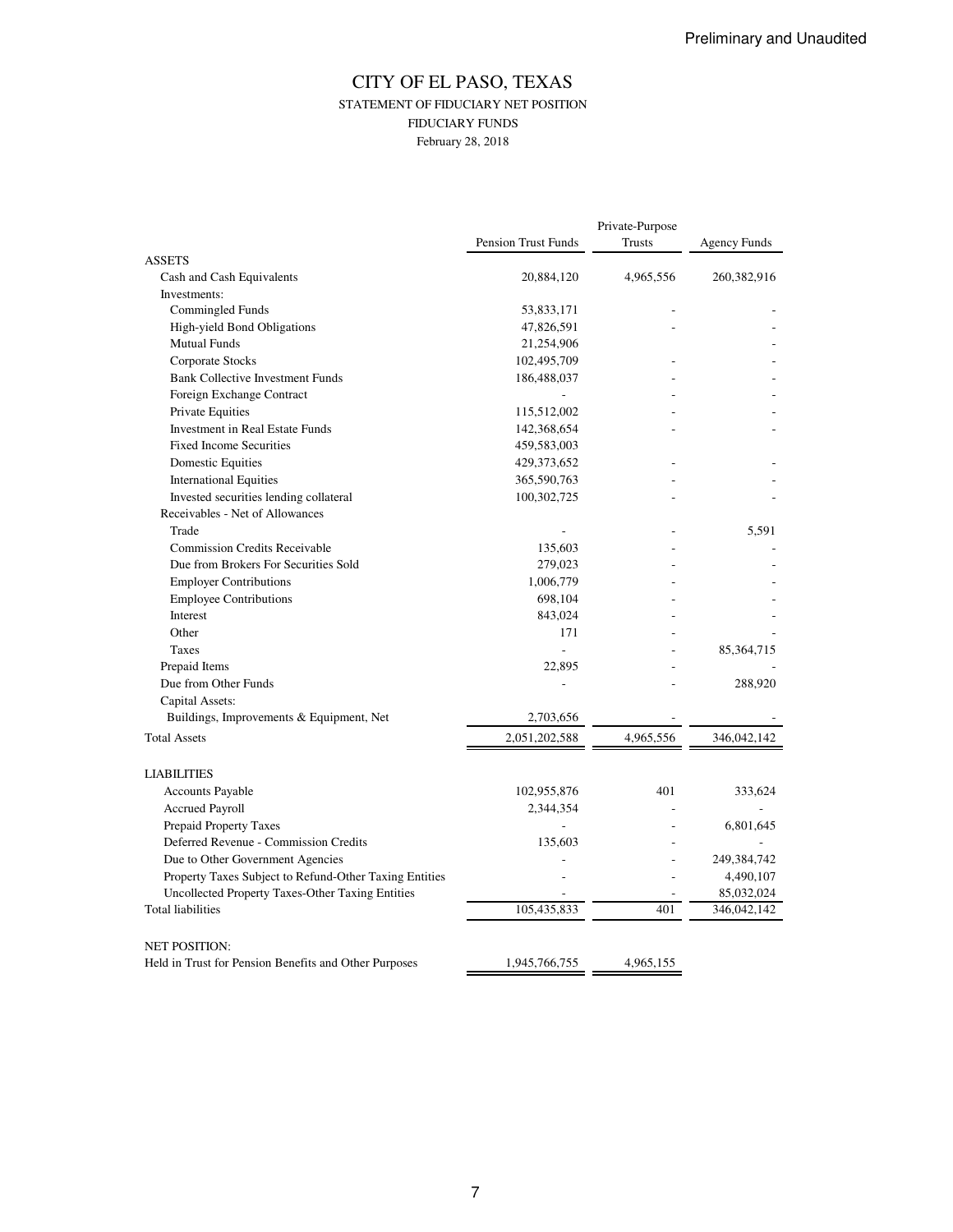### CITY OF EL PASO, TEXAS STATEMENT OF FIDUCIARY NET POSITION FIDUCIARY FUNDS February 28, 2018

|                                                        |                     | Private-Purpose |               |  |  |
|--------------------------------------------------------|---------------------|-----------------|---------------|--|--|
|                                                        | Pension Trust Funds | <b>Trusts</b>   | Agency Funds  |  |  |
| <b>ASSETS</b>                                          |                     |                 |               |  |  |
| Cash and Cash Equivalents                              | 20,884,120          | 4,965,556       | 260, 382, 916 |  |  |
| Investments:                                           |                     |                 |               |  |  |
| Commingled Funds                                       | 53,833,171          |                 |               |  |  |
| High-yield Bond Obligations                            | 47,826,591          |                 |               |  |  |
| <b>Mutual Funds</b>                                    | 21,254,906          |                 |               |  |  |
| Corporate Stocks                                       | 102,495,709         |                 |               |  |  |
| <b>Bank Collective Investment Funds</b>                | 186,488,037         |                 |               |  |  |
| Foreign Exchange Contract                              |                     |                 |               |  |  |
| Private Equities                                       | 115,512,002         |                 |               |  |  |
| Investment in Real Estate Funds                        | 142,368,654         |                 |               |  |  |
| <b>Fixed Income Securities</b>                         | 459,583,003         |                 |               |  |  |
| Domestic Equities                                      | 429,373,652         |                 |               |  |  |
| <b>International Equities</b>                          | 365,590,763         |                 |               |  |  |
| Invested securities lending collateral                 | 100,302,725         |                 |               |  |  |
| Receivables - Net of Allowances                        |                     |                 |               |  |  |
| Trade                                                  |                     |                 | 5,591         |  |  |
| <b>Commission Credits Receivable</b>                   | 135,603             |                 |               |  |  |
| Due from Brokers For Securities Sold                   | 279,023             |                 |               |  |  |
| <b>Employer Contributions</b>                          | 1,006,779           |                 |               |  |  |
| <b>Employee Contributions</b>                          | 698,104             |                 |               |  |  |
| Interest                                               | 843,024             |                 |               |  |  |
| Other                                                  | 171                 |                 |               |  |  |
| Taxes                                                  | L.                  |                 | 85, 364, 715  |  |  |
| Prepaid Items                                          | 22,895              |                 |               |  |  |
| Due from Other Funds                                   |                     |                 | 288,920       |  |  |
| Capital Assets:                                        |                     |                 |               |  |  |
| Buildings, Improvements & Equipment, Net               | 2,703,656           |                 |               |  |  |
| <b>Total Assets</b>                                    | 2,051,202,588       | 4,965,556       | 346,042,142   |  |  |
|                                                        |                     |                 |               |  |  |
| <b>LIABILITIES</b>                                     |                     |                 |               |  |  |
| <b>Accounts Payable</b>                                | 102,955,876         | 401             | 333,624       |  |  |
| <b>Accrued Payroll</b>                                 | 2,344,354           |                 |               |  |  |
| Prepaid Property Taxes                                 |                     |                 | 6,801,645     |  |  |
| Deferred Revenue - Commission Credits                  | 135,603             |                 |               |  |  |
| Due to Other Government Agencies                       |                     |                 | 249,384,742   |  |  |
| Property Taxes Subject to Refund-Other Taxing Entities |                     |                 | 4,490,107     |  |  |
| Uncollected Property Taxes-Other Taxing Entities       |                     |                 | 85,032,024    |  |  |
| <b>Total liabilities</b>                               | 105,435,833         | 401             | 346,042,142   |  |  |
|                                                        |                     |                 |               |  |  |
| <b>NET POSITION:</b>                                   |                     |                 |               |  |  |
| Held in Trust for Pension Benefits and Other Purposes  | 1,945,766,755       | 4,965,155       |               |  |  |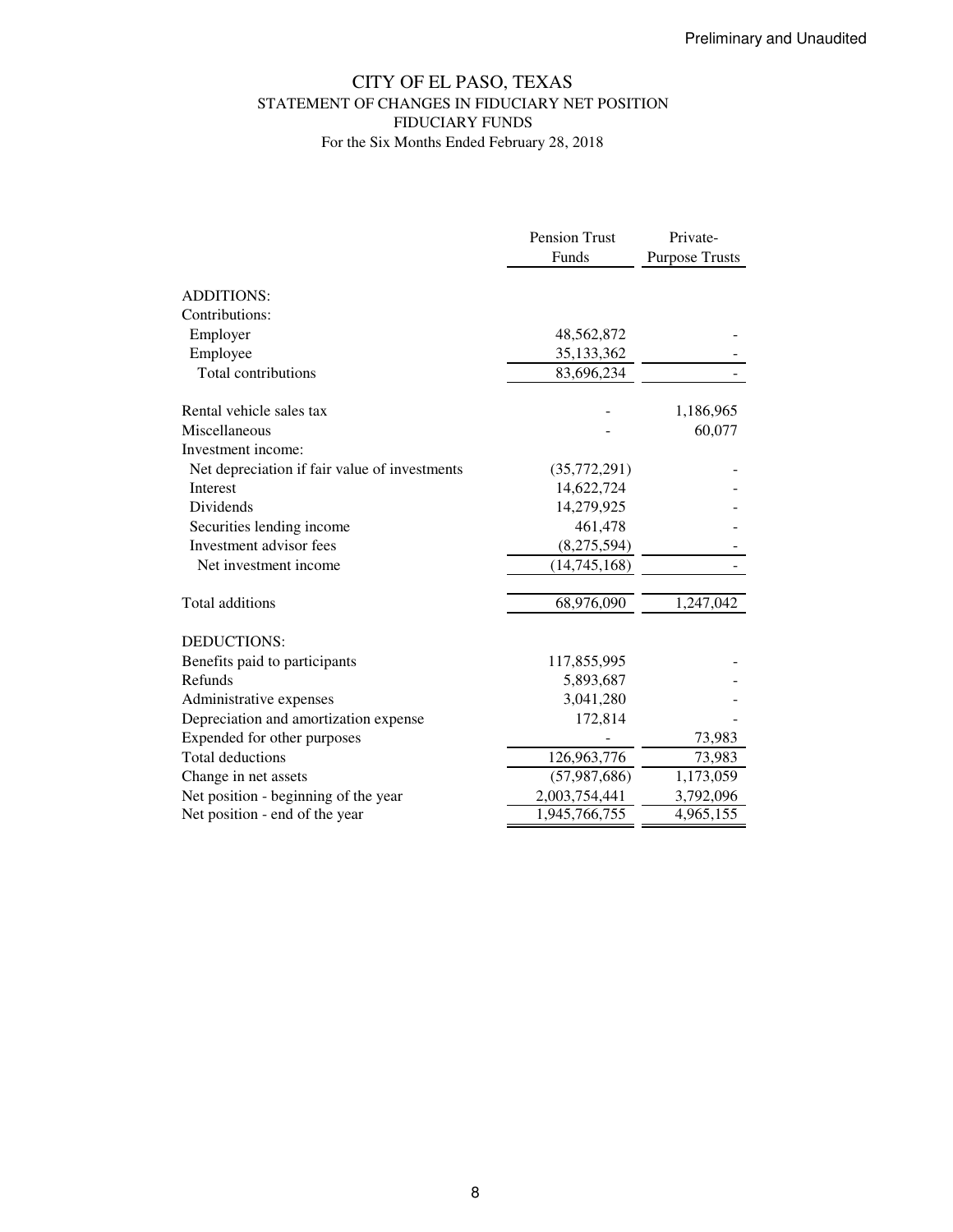## CITY OF EL PASO, TEXAS STATEMENT OF CHANGES IN FIDUCIARY NET POSITION FIDUCIARY FUNDS For the Six Months Ended February 28, 2018

|                                               | <b>Pension Trust</b> | Private-              |
|-----------------------------------------------|----------------------|-----------------------|
|                                               | Funds                | <b>Purpose Trusts</b> |
| <b>ADDITIONS:</b>                             |                      |                       |
|                                               |                      |                       |
| Contributions:                                |                      |                       |
| Employer                                      | 48,562,872           |                       |
| Employee                                      | 35,133,362           |                       |
| Total contributions                           | 83,696,234           |                       |
| Rental vehicle sales tax                      |                      | 1,186,965             |
| Miscellaneous                                 |                      | 60,077                |
| Investment income:                            |                      |                       |
| Net depreciation if fair value of investments | (35,772,291)         |                       |
| <b>Interest</b>                               | 14,622,724           |                       |
| <b>Dividends</b>                              | 14,279,925           |                       |
| Securities lending income                     | 461,478              |                       |
| Investment advisor fees                       | (8,275,594)          |                       |
| Net investment income                         | (14,745,168)         |                       |
| Total additions                               | 68,976,090           | 1,247,042             |
| <b>DEDUCTIONS:</b>                            |                      |                       |
| Benefits paid to participants                 | 117,855,995          |                       |
| Refunds                                       | 5,893,687            |                       |
| Administrative expenses                       | 3,041,280            |                       |
| Depreciation and amortization expense         | 172,814              |                       |
|                                               |                      |                       |
| Expended for other purposes                   |                      | 73,983                |
| <b>Total deductions</b>                       | 126,963,776          | 73,983                |
| Change in net assets                          | (57, 987, 686)       | 1,173,059             |
| Net position - beginning of the year          | 2,003,754,441        | 3,792,096             |
| Net position - end of the year                | 1,945,766,755        | 4,965,155             |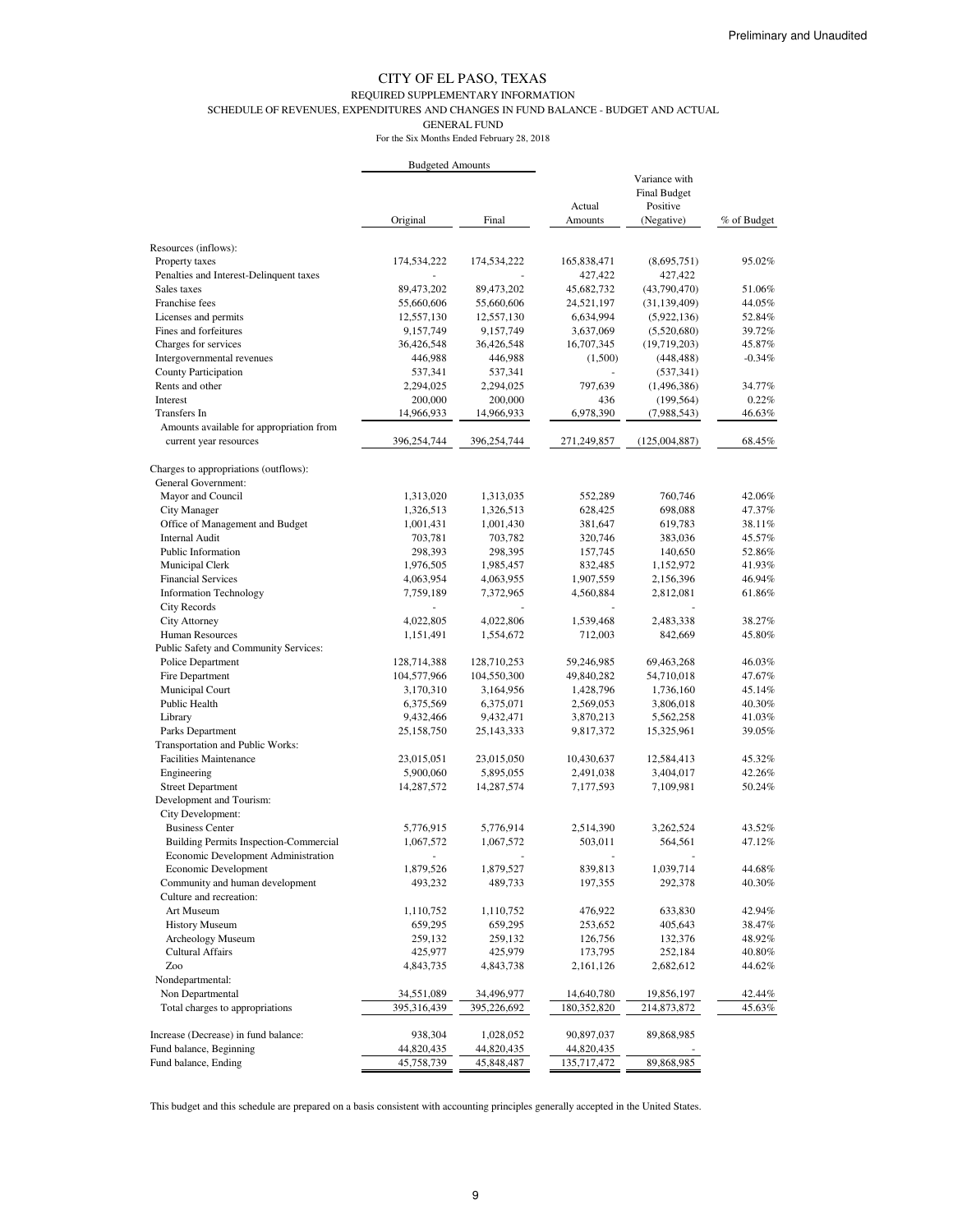#### REQUIRED SUPPLEMENTARY INFORMATION

SCHEDULE OF REVENUES, EXPENDITURES AND CHANGES IN FUND BALANCE - BUDGET AND ACTUAL

GENERAL FUND

For the Six Months Ended February 28, 2018

|                                               | <b>Budgeted Amounts</b> |              |             |                     |             |
|-----------------------------------------------|-------------------------|--------------|-------------|---------------------|-------------|
|                                               |                         |              |             | Variance with       |             |
|                                               |                         |              |             | <b>Final Budget</b> |             |
|                                               |                         |              | Actual      | Positive            |             |
|                                               | Original                | Final        | Amounts     | (Negative)          | % of Budget |
| Resources (inflows):                          |                         |              |             |                     |             |
| Property taxes                                | 174,534,222             | 174,534,222  | 165,838,471 | (8,695,751)         | 95.02%      |
| Penalties and Interest-Delinquent taxes       |                         |              | 427,422     | 427,422             |             |
| Sales taxes                                   | 89,473,202              | 89,473,202   | 45,682,732  | (43,790,470)        | 51.06%      |
| Franchise fees                                | 55,660,606              | 55,660,606   | 24,521,197  | (31, 139, 409)      | 44.05%      |
| Licenses and permits                          | 12,557,130              | 12,557,130   | 6,634,994   | (5,922,136)         | 52.84%      |
| Fines and forfeitures                         | 9,157,749               | 9,157,749    | 3,637,069   | (5,520,680)         | 39.72%      |
| Charges for services                          | 36,426,548              | 36,426,548   | 16,707,345  | (19,719,203)        | 45.87%      |
| Intergovernmental revenues                    | 446,988                 | 446,988      | (1,500)     | (448, 488)          | $-0.34%$    |
| <b>County Participation</b>                   | 537,341                 | 537,341      |             | (537, 341)          |             |
| Rents and other                               | 2,294,025               | 2,294,025    | 797,639     | (1,496,386)         | 34.77%      |
| Interest                                      | 200,000                 | 200,000      | 436         | (199, 564)          | 0.22%       |
| Transfers In                                  | 14,966,933              | 14,966,933   | 6,978,390   | (7,988,543)         | 46.63%      |
| Amounts available for appropriation from      |                         |              |             |                     |             |
| current year resources                        | 396,254,744             | 396,254,744  | 271,249,857 | (125,004,887)       | 68.45%      |
|                                               |                         |              |             |                     |             |
| Charges to appropriations (outflows):         |                         |              |             |                     |             |
| General Government:                           |                         |              |             |                     |             |
| Mayor and Council                             | 1,313,020               | 1,313,035    | 552,289     | 760,746             | 42.06%      |
| City Manager                                  | 1,326,513               | 1,326,513    | 628,425     | 698,088             | 47.37%      |
| Office of Management and Budget               | 1,001,431               | 1,001,430    | 381,647     | 619,783             | 38.11%      |
| <b>Internal Audit</b>                         | 703,781                 | 703,782      | 320,746     | 383,036             | 45.57%      |
| Public Information                            | 298,393                 | 298,395      | 157,745     | 140,650             | 52.86%      |
| Municipal Clerk                               | 1,976,505               | 1,985,457    | 832,485     | 1,152,972           | 41.93%      |
| <b>Financial Services</b>                     | 4,063,954               | 4,063,955    | 1,907,559   | 2,156,396           | 46.94%      |
| <b>Information Technology</b>                 | 7,759,189               | 7,372,965    | 4,560,884   | 2,812,081           | 61.86%      |
| <b>City Records</b>                           |                         |              |             |                     |             |
| City Attorney                                 | 4,022,805               | 4,022,806    | 1,539,468   | 2,483,338           | 38.27%      |
| Human Resources                               | 1,151,491               | 1,554,672    | 712,003     | 842,669             | 45.80%      |
| Public Safety and Community Services:         |                         |              |             |                     |             |
| Police Department                             | 128,714,388             | 128,710,253  | 59,246,985  | 69,463,268          | 46.03%      |
| Fire Department                               | 104,577,966             | 104,550,300  | 49,840,282  | 54,710,018          | 47.67%      |
| Municipal Court                               | 3,170,310               | 3,164,956    | 1,428,796   | 1,736,160           | 45.14%      |
| Public Health                                 | 6,375,569               | 6,375,071    | 2,569,053   | 3,806,018           | 40.30%      |
| Library                                       | 9,432,466               | 9,432,471    | 3,870,213   | 5,562,258           | 41.03%      |
| Parks Department                              | 25,158,750              | 25, 143, 333 | 9,817,372   | 15,325,961          | 39.05%      |
| Transportation and Public Works:              |                         |              |             |                     |             |
| <b>Facilities Maintenance</b>                 | 23,015,051              | 23,015,050   | 10,430,637  | 12,584,413          | 45.32%      |
| Engineering                                   | 5,900,060               | 5,895,055    | 2,491,038   | 3,404,017           | 42.26%      |
| <b>Street Department</b>                      | 14,287,572              | 14,287,574   | 7,177,593   | 7,109,981           | 50.24%      |
| Development and Tourism:                      |                         |              |             |                     |             |
| City Development:                             |                         |              |             |                     |             |
| <b>Business Center</b>                        | 5,776,915               | 5,776,914    | 2,514,390   | 3,262,524           | 43.52%      |
| <b>Building Permits Inspection-Commercial</b> | 1,067,572               | 1,067,572    | 503,011     | 564,561             | 47.12%      |
| Economic Development Administration           |                         |              |             |                     |             |
| Economic Development                          | 1,879,526               | 1,879,527    | 839,813     | 1,039,714           | 44.68%      |
| Community and human development               | 493,232                 | 489,733      | 197,355     | 292,378             | 40.30%      |
| Culture and recreation:                       |                         |              |             |                     |             |
| Art Museum                                    |                         |              |             |                     | 42.94%      |
|                                               | 1,110,752               | 1,110,752    | 476,922     | 633,830             |             |
| <b>History Museum</b>                         | 659,295                 | 659,295      | 253,652     | 405,643             | 38.47%      |
| Archeology Museum                             | 259,132                 | 259,132      | 126,756     | 132,376             | 48.92%      |
| Cultural Affairs                              | 425,977                 | 425,979      | 173,795     | 252,184             | 40.80%      |
| Zoo                                           | 4,843,735               | 4,843,738    | 2,161,126   | 2,682,612           | 44.62%      |
| Nondepartmental:                              |                         |              |             |                     |             |
| Non Departmental                              | 34,551,089              | 34,496,977   | 14,640,780  | 19,856,197          | 42.44%      |
| Total charges to appropriations               | 395,316,439             | 395,226,692  | 180,352,820 | 214,873,872         | 45.63%      |
| Increase (Decrease) in fund balance:          | 938,304                 | 1,028,052    | 90,897,037  | 89,868,985          |             |
| Fund balance, Beginning                       | 44,820,435              | 44,820,435   | 44,820,435  |                     |             |
| Fund balance, Ending                          | 45,758,739              | 45,848,487   | 135,717,472 | 89,868,985          |             |

This budget and this schedule are prepared on a basis consistent with accounting principles generally accepted in the United States.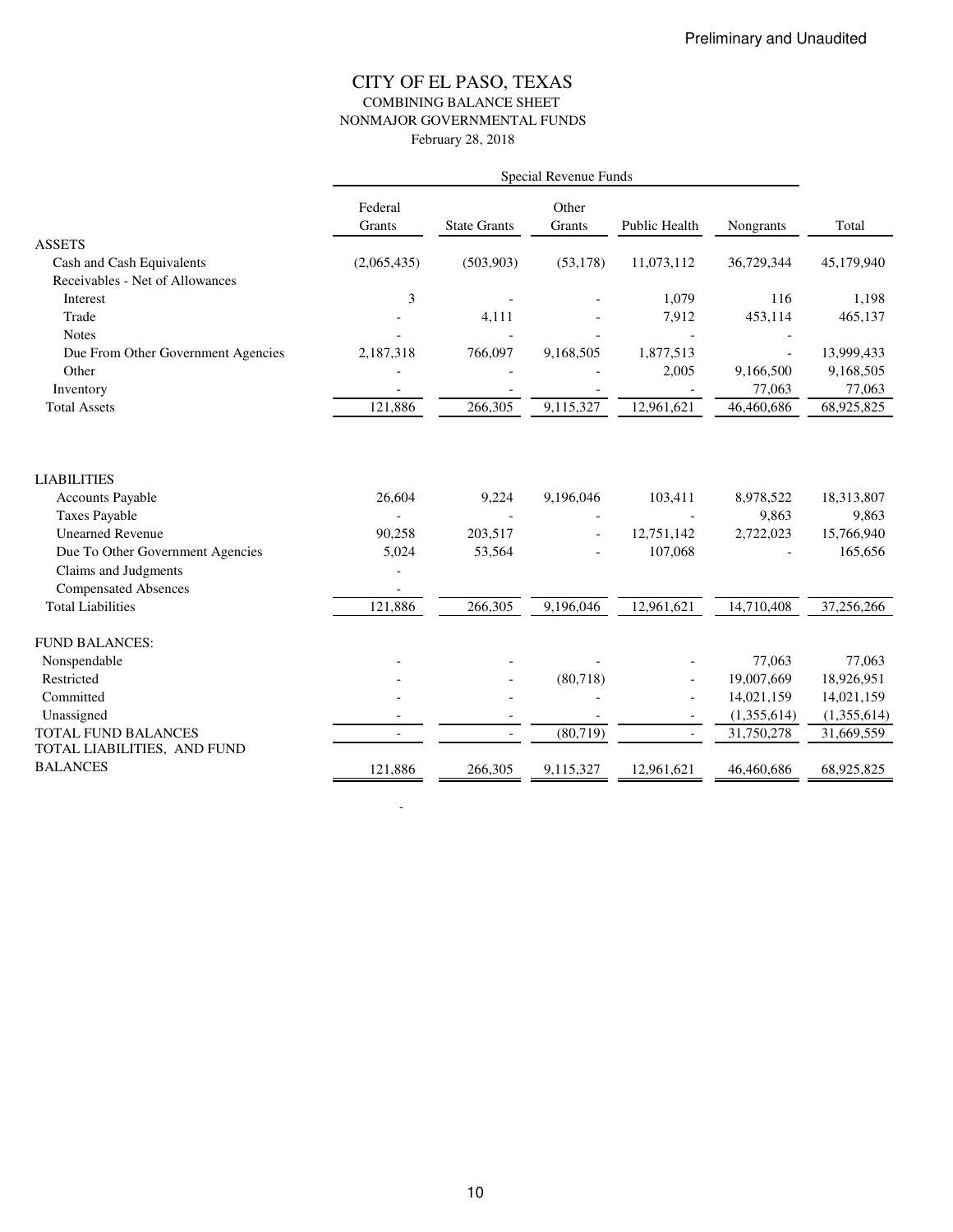### CITY OF EL PASO, TEXAS COMBINING BALANCE SHEET NONMAJOR GOVERNMENTAL FUNDS February 28, 2018

|                                    | Federal<br>Grants | <b>State Grants</b> | Other<br>Grants | Public Health  | Nongrants   | Total       |
|------------------------------------|-------------------|---------------------|-----------------|----------------|-------------|-------------|
| <b>ASSETS</b>                      |                   |                     |                 |                |             |             |
| Cash and Cash Equivalents          | (2,065,435)       | (503,903)           | (53, 178)       | 11,073,112     | 36,729,344  | 45,179,940  |
| Receivables - Net of Allowances    |                   |                     |                 |                |             |             |
| Interest                           | $\mathfrak{Z}$    |                     |                 | 1,079          | 116         | 1,198       |
| Trade                              |                   | 4,111               |                 | 7,912          | 453,114     | 465,137     |
| <b>Notes</b>                       |                   |                     |                 |                |             |             |
| Due From Other Government Agencies | 2,187,318         | 766,097             | 9,168,505       | 1,877,513      |             | 13,999,433  |
| Other                              |                   |                     |                 | 2,005          | 9,166,500   | 9,168,505   |
| Inventory                          |                   |                     |                 |                | 77,063      | 77,063      |
| <b>Total Assets</b>                | 121,886           | 266,305             | 9,115,327       | 12,961,621     | 46,460,686  | 68,925,825  |
| <b>LIABILITIES</b>                 |                   |                     |                 |                |             |             |
| <b>Accounts Payable</b>            | 26,604            | 9,224               | 9,196,046       | 103,411        | 8,978,522   | 18,313,807  |
| <b>Taxes Payable</b>               |                   |                     |                 |                | 9,863       | 9,863       |
| <b>Unearned Revenue</b>            | 90,258            | 203,517             |                 | 12,751,142     | 2,722,023   | 15,766,940  |
| Due To Other Government Agencies   | 5,024             | 53,564              |                 | 107,068        |             | 165,656     |
| Claims and Judgments               |                   |                     |                 |                |             |             |
| <b>Compensated Absences</b>        |                   |                     |                 |                |             |             |
| <b>Total Liabilities</b>           | 121,886           | 266,305             | 9,196,046       | 12,961,621     | 14,710,408  | 37,256,266  |
| <b>FUND BALANCES:</b>              |                   |                     |                 |                |             |             |
| Nonspendable                       |                   |                     |                 |                | 77,063      | 77,063      |
| Restricted                         |                   |                     | (80, 718)       | $\bar{a}$      | 19,007,669  | 18,926,951  |
| Committed                          |                   |                     |                 | $\overline{a}$ | 14,021,159  | 14,021,159  |
| Unassigned                         |                   |                     |                 |                | (1,355,614) | (1,355,614) |
| <b>TOTAL FUND BALANCES</b>         |                   |                     | (80, 719)       |                | 31,750,278  | 31,669,559  |
| TOTAL LIABILITIES, AND FUND        |                   |                     |                 |                |             |             |
| <b>BALANCES</b>                    | 121,886           | 266,305             | 9,115,327       | 12,961,621     | 46,460,686  | 68,925,825  |

-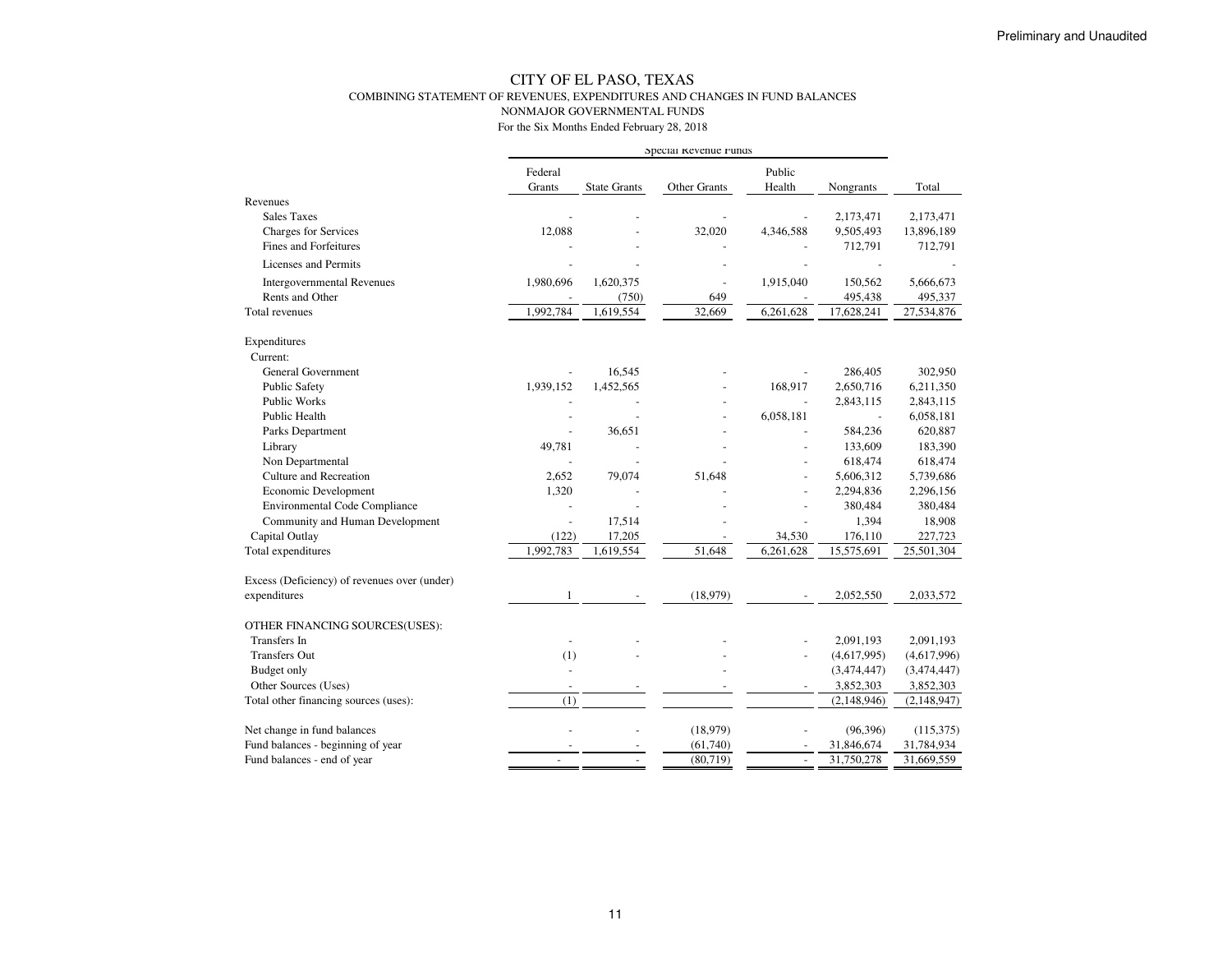#### CITY OF EL PASO, TEXAS COMBINING STATEMENT OF REVENUES, EXPENDITURES AND CHANGES IN FUND BALANCESNONMAJOR GOVERNMENTAL FUNDSFor the Six Months Ended February 28, 2018

|                                              |                          |                     | Special Revenue runds |                          |                |               |
|----------------------------------------------|--------------------------|---------------------|-----------------------|--------------------------|----------------|---------------|
|                                              | Federal                  |                     |                       | Public                   |                |               |
|                                              | Grants                   | <b>State Grants</b> | Other Grants          | Health                   | Nongrants      | Total         |
| Revenues                                     |                          |                     |                       |                          |                |               |
| <b>Sales Taxes</b>                           |                          |                     |                       |                          | 2,173,471      | 2,173,471     |
| Charges for Services                         | 12,088                   |                     | 32,020                | 4,346,588                | 9,505,493      | 13,896,189    |
| <b>Fines and Forfeitures</b>                 |                          |                     |                       |                          | 712,791        | 712,791       |
| Licenses and Permits                         |                          |                     |                       |                          |                |               |
| <b>Intergovernmental Revenues</b>            | 1,980,696                | 1,620,375           | ÷,                    | 1,915,040                | 150,562        | 5,666,673     |
| Rents and Other                              |                          | (750)               | 649                   |                          | 495,438        | 495,337       |
| Total revenues                               | 1,992,784                | 1,619,554           | 32,669                | 6,261,628                | 17,628,241     | 27,534,876    |
| Expenditures                                 |                          |                     |                       |                          |                |               |
| Current:                                     |                          |                     |                       |                          |                |               |
| <b>General Government</b>                    |                          | 16,545              |                       |                          | 286,405        | 302,950       |
| <b>Public Safety</b>                         | 1,939,152                | 1,452,565           |                       | 168,917                  | 2,650,716      | 6,211,350     |
| <b>Public Works</b>                          |                          |                     |                       |                          | 2,843,115      | 2,843,115     |
| Public Health                                |                          | $\overline{a}$      |                       | 6,058,181                | $\overline{a}$ | 6,058,181     |
| Parks Department                             | $\sim$                   | 36,651              |                       |                          | 584,236        | 620,887       |
| Library                                      | 49,781                   |                     |                       |                          | 133,609        | 183,390       |
| Non Departmental                             |                          |                     |                       |                          | 618,474        | 618,474       |
| Culture and Recreation                       | 2,652                    | 79,074              | 51,648                | $\overline{a}$           | 5,606,312      | 5,739,686     |
| Economic Development                         | 1,320                    | ÷,                  |                       |                          | 2,294,836      | 2,296,156     |
| <b>Environmental Code Compliance</b>         |                          |                     |                       |                          | 380,484        | 380,484       |
| Community and Human Development              | $\overline{a}$           | 17,514              |                       |                          | 1,394          | 18,908        |
| Capital Outlay                               | (122)                    | 17,205              |                       | 34,530                   | 176,110        | 227,723       |
| Total expenditures                           | 1,992,783                | 1,619,554           | 51,648                | 6,261,628                | 15,575,691     | 25,501,304    |
| Excess (Deficiency) of revenues over (under) |                          |                     |                       |                          |                |               |
| expenditures                                 | 1                        |                     | (18,979)              |                          | 2,052,550      | 2,033,572     |
| OTHER FINANCING SOURCES(USES):               |                          |                     |                       |                          |                |               |
| <b>Transfers</b> In                          |                          |                     |                       |                          | 2,091,193      | 2,091,193     |
| <b>Transfers Out</b>                         | (1)                      |                     |                       | $\overline{a}$           | (4,617,995)    | (4,617,996)   |
| <b>Budget only</b>                           |                          |                     |                       |                          | (3,474,447)    | (3,474,447)   |
| Other Sources (Uses)                         | $\overline{\phantom{a}}$ |                     |                       |                          | 3,852,303      | 3,852,303     |
| Total other financing sources (uses):        | (1)                      |                     |                       |                          | (2, 148, 946)  | (2, 148, 947) |
| Net change in fund balances                  |                          |                     | (18,979)              |                          | (96, 396)      | (115,375)     |
| Fund balances - beginning of year            |                          |                     | (61, 740)             |                          | 31,846,674     | 31,784,934    |
| Fund balances - end of year                  |                          |                     | (80, 719)             | $\overline{\phantom{a}}$ | 31,750,278     | 31,669,559    |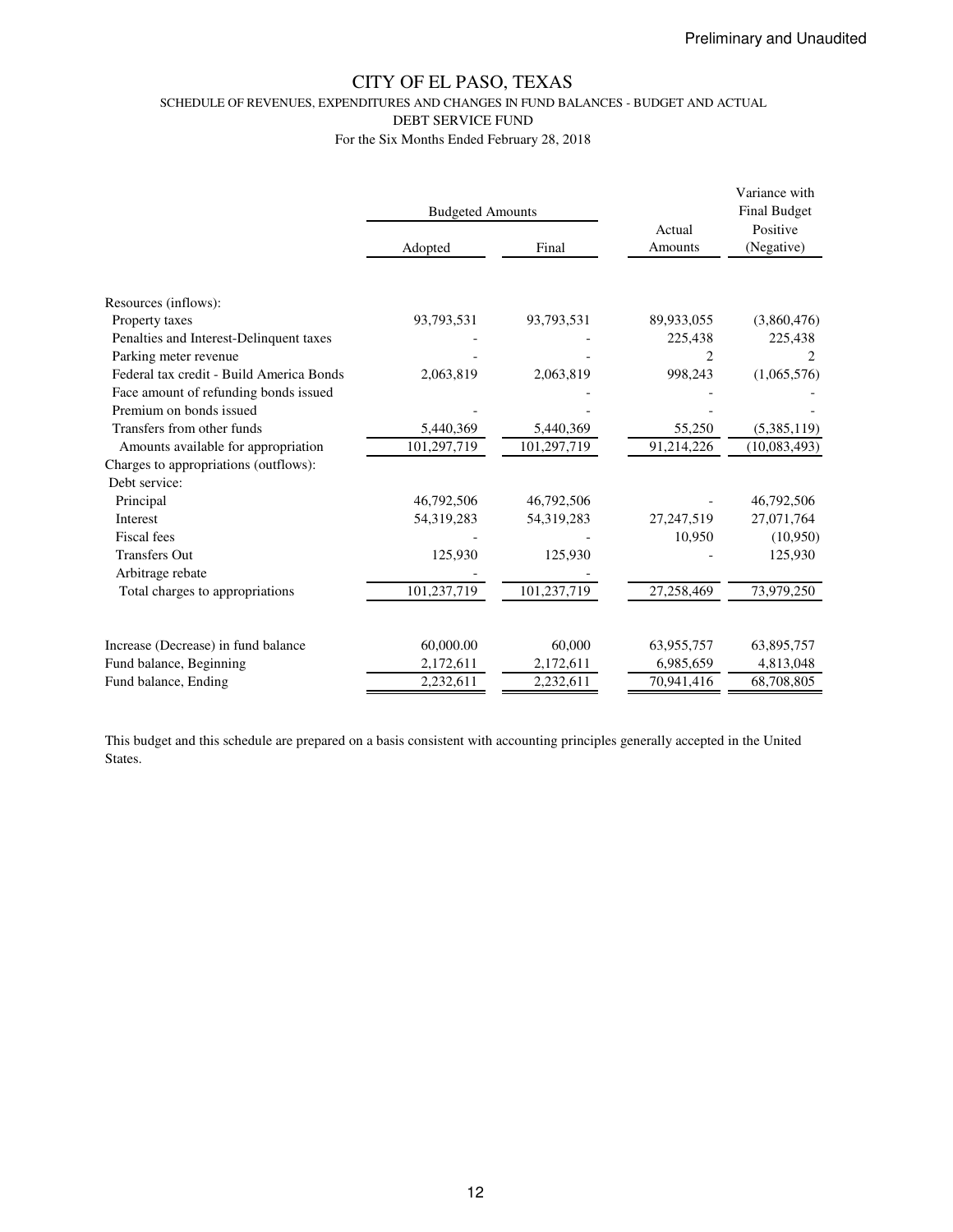SCHEDULE OF REVENUES, EXPENDITURES AND CHANGES IN FUND BALANCES - BUDGET AND ACTUAL

DEBT SERVICE FUND

For the Six Months Ended February 28, 2018

|                                          | <b>Budgeted Amounts</b> |             | Actual       | Variance with<br><b>Final Budget</b><br>Positive |  |
|------------------------------------------|-------------------------|-------------|--------------|--------------------------------------------------|--|
|                                          | Adopted                 | Final       | Amounts      | (Negative)                                       |  |
|                                          |                         |             |              |                                                  |  |
| Resources (inflows):                     |                         |             |              |                                                  |  |
| Property taxes                           | 93,793,531              | 93,793,531  | 89,933,055   | (3,860,476)                                      |  |
| Penalties and Interest-Delinquent taxes  |                         |             | 225,438      | 225,438                                          |  |
| Parking meter revenue                    |                         |             |              |                                                  |  |
| Federal tax credit - Build America Bonds | 2,063,819               | 2,063,819   | 998,243      | (1,065,576)                                      |  |
| Face amount of refunding bonds issued    |                         |             |              |                                                  |  |
| Premium on bonds issued                  |                         |             |              |                                                  |  |
| Transfers from other funds               | 5,440,369               | 5,440,369   | 55,250       | (5,385,119)                                      |  |
| Amounts available for appropriation      | 101,297,719             | 101,297,719 | 91,214,226   | (10,083,493)                                     |  |
| Charges to appropriations (outflows):    |                         |             |              |                                                  |  |
| Debt service:                            |                         |             |              |                                                  |  |
| Principal                                | 46,792,506              | 46,792,506  |              | 46,792,506                                       |  |
| Interest                                 | 54,319,283              | 54,319,283  | 27, 247, 519 | 27,071,764                                       |  |
| Fiscal fees                              |                         |             | 10,950       | (10,950)                                         |  |
| <b>Transfers Out</b>                     | 125,930                 | 125,930     |              | 125,930                                          |  |
| Arbitrage rebate                         |                         |             |              |                                                  |  |
| Total charges to appropriations          | 101,237,719             | 101,237,719 | 27,258,469   | 73,979,250                                       |  |
|                                          |                         |             |              |                                                  |  |
| Increase (Decrease) in fund balance      | 60,000.00               | 60,000      | 63,955,757   | 63,895,757                                       |  |
| Fund balance, Beginning                  | 2,172,611               | 2,172,611   | 6,985,659    | 4,813,048                                        |  |
| Fund balance, Ending                     | 2,232,611               | 2,232,611   | 70,941,416   | 68,708,805                                       |  |

This budget and this schedule are prepared on a basis consistent with accounting principles generally accepted in the United States.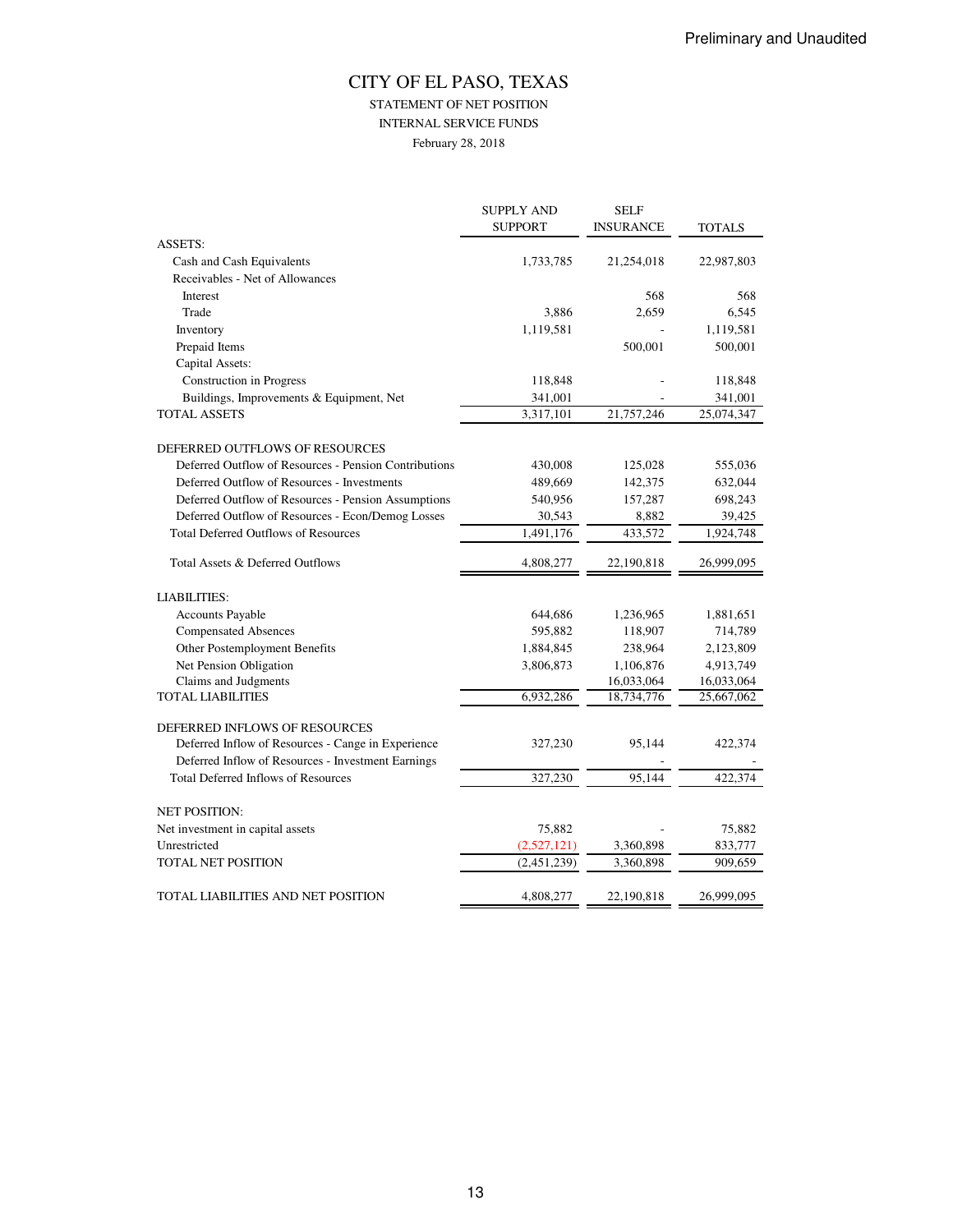## CITY OF EL PASO, TEXAS STATEMENT OF NET POSITION INTERNAL SERVICE FUNDS February 28, 2018

|                                                       | <b>SUPPLY AND</b> | <b>SELF</b>      |               |
|-------------------------------------------------------|-------------------|------------------|---------------|
|                                                       | <b>SUPPORT</b>    | <b>INSURANCE</b> | <b>TOTALS</b> |
| <b>ASSETS:</b>                                        |                   |                  |               |
| Cash and Cash Equivalents                             | 1,733,785         | 21,254,018       | 22,987,803    |
| Receivables - Net of Allowances                       |                   |                  |               |
| Interest                                              |                   | 568              | 568           |
| Trade                                                 | 3,886             | 2,659            | 6,545         |
| Inventory                                             | 1,119,581         |                  | 1,119,581     |
| Prepaid Items                                         |                   | 500,001          | 500,001       |
| Capital Assets:                                       |                   |                  |               |
| <b>Construction</b> in Progress                       | 118,848           |                  | 118,848       |
| Buildings, Improvements & Equipment, Net              | 341,001           |                  | 341,001       |
| <b>TOTAL ASSETS</b>                                   | 3,317,101         | 21,757,246       | 25,074,347    |
| DEFERRED OUTFLOWS OF RESOURCES                        |                   |                  |               |
| Deferred Outflow of Resources - Pension Contributions | 430,008           | 125,028          | 555,036       |
| Deferred Outflow of Resources - Investments           | 489,669           | 142,375          | 632,044       |
| Deferred Outflow of Resources - Pension Assumptions   | 540,956           | 157,287          | 698,243       |
| Deferred Outflow of Resources - Econ/Demog Losses     | 30,543            | 8,882            | 39,425        |
| <b>Total Deferred Outflows of Resources</b>           | 1,491,176         | 433,572          | 1,924,748     |
|                                                       |                   |                  |               |
| Total Assets & Deferred Outflows                      | 4,808,277         | 22,190,818       | 26,999,095    |
| <b>LIABILITIES:</b>                                   |                   |                  |               |
| <b>Accounts Payable</b>                               | 644,686           | 1,236,965        | 1,881,651     |
| <b>Compensated Absences</b>                           | 595,882           | 118,907          | 714,789       |
| Other Postemployment Benefits                         | 1,884,845         | 238,964          | 2,123,809     |
| Net Pension Obligation                                | 3,806,873         | 1,106,876        | 4,913,749     |
| Claims and Judgments                                  |                   | 16,033,064       | 16,033,064    |
| <b>TOTAL LIABILITIES</b>                              | 6,932,286         | 18,734,776       | 25,667,062    |
| DEFERRED INFLOWS OF RESOURCES                         |                   |                  |               |
| Deferred Inflow of Resources - Cange in Experience    | 327,230           | 95,144           | 422,374       |
| Deferred Inflow of Resources - Investment Earnings    |                   |                  |               |
| <b>Total Deferred Inflows of Resources</b>            | 327,230           | 95.144           | 422,374       |
|                                                       |                   |                  |               |
| <b>NET POSITION:</b>                                  |                   |                  |               |
| Net investment in capital assets                      | 75,882            |                  | 75,882        |
| Unrestricted                                          | (2,527,121)       | 3,360,898        | 833,777       |
| TOTAL NET POSITION                                    | (2,451,239)       | 3,360,898        | 909,659       |
| TOTAL LIABILITIES AND NET POSITION                    | 4,808,277         | 22,190,818       | 26,999,095    |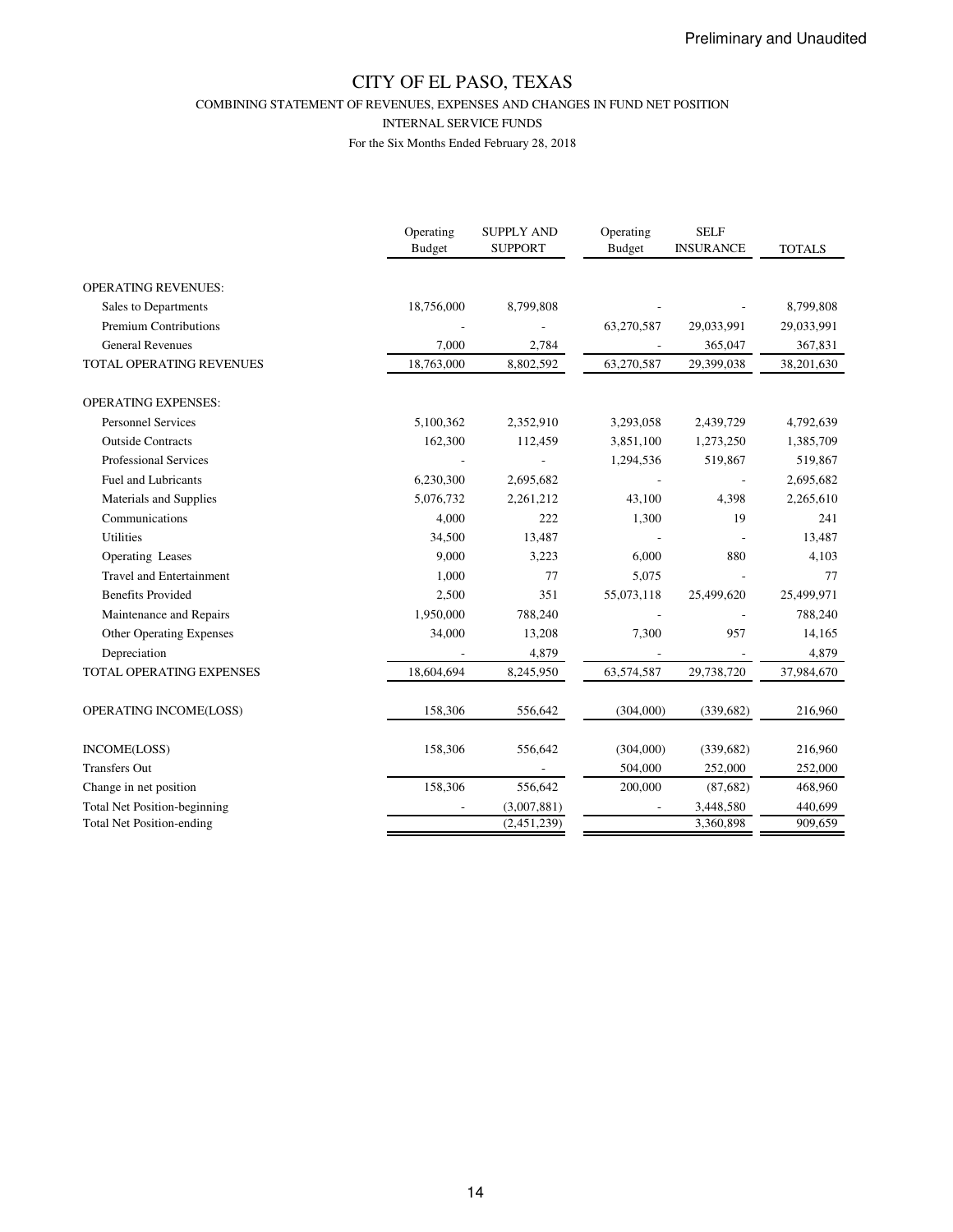COMBINING STATEMENT OF REVENUES, EXPENSES AND CHANGES IN FUND NET POSITION

INTERNAL SERVICE FUNDS

|                                     | Operating<br><b>Budget</b> | <b>SUPPLY AND</b><br><b>SUPPORT</b> | Operating<br><b>Budget</b> | <b>SELF</b><br><b>INSURANCE</b> | <b>TOTALS</b> |
|-------------------------------------|----------------------------|-------------------------------------|----------------------------|---------------------------------|---------------|
| <b>OPERATING REVENUES:</b>          |                            |                                     |                            |                                 |               |
| Sales to Departments                | 18,756,000                 | 8,799,808                           |                            |                                 | 8,799,808     |
| Premium Contributions               |                            |                                     | 63,270,587                 | 29,033,991                      | 29,033,991    |
| <b>General Revenues</b>             | 7.000                      | 2,784                               |                            | 365,047                         | 367,831       |
| TOTAL OPERATING REVENUES            | 18,763,000                 | 8,802,592                           | 63,270,587                 | 29,399,038                      | 38,201,630    |
| <b>OPERATING EXPENSES:</b>          |                            |                                     |                            |                                 |               |
| <b>Personnel Services</b>           | 5,100,362                  | 2,352,910                           | 3,293,058                  | 2,439,729                       | 4,792,639     |
| <b>Outside Contracts</b>            | 162,300                    | 112,459                             | 3,851,100                  | 1,273,250                       | 1,385,709     |
| <b>Professional Services</b>        |                            |                                     | 1,294,536                  | 519,867                         | 519,867       |
| <b>Fuel and Lubricants</b>          | 6,230,300                  | 2,695,682                           |                            |                                 | 2,695,682     |
| Materials and Supplies              | 5,076,732                  | 2,261,212                           | 43,100                     | 4,398                           | 2,265,610     |
| Communications                      | 4,000                      | 222                                 | 1,300                      | 19                              | 241           |
| <b>Utilities</b>                    | 34,500                     | 13,487                              |                            |                                 | 13,487        |
| Operating Leases                    | 9,000                      | 3,223                               | 6,000                      | 880                             | 4,103         |
| <b>Travel and Entertainment</b>     | 1,000                      | 77                                  | 5,075                      |                                 | 77            |
| <b>Benefits Provided</b>            | 2,500                      | 351                                 | 55,073,118                 | 25,499,620                      | 25,499,971    |
| Maintenance and Repairs             | 1,950,000                  | 788,240                             |                            |                                 | 788,240       |
| Other Operating Expenses            | 34,000                     | 13,208                              | 7,300                      | 957                             | 14,165        |
| Depreciation                        |                            | 4,879                               |                            |                                 | 4,879         |
| <b>TOTAL OPERATING EXPENSES</b>     | 18,604,694                 | 8,245,950                           | 63,574,587                 | 29,738,720                      | 37,984,670    |
| OPERATING INCOME(LOSS)              | 158,306                    | 556,642                             | (304,000)                  | (339, 682)                      | 216,960       |
| INCOME(LOSS)                        | 158,306                    | 556,642                             | (304,000)                  | (339, 682)                      | 216,960       |
| <b>Transfers Out</b>                |                            |                                     | 504,000                    | 252,000                         | 252,000       |
| Change in net position              | 158,306                    | 556,642                             | 200,000                    | (87, 682)                       | 468,960       |
| <b>Total Net Position-beginning</b> |                            | (3,007,881)                         |                            | 3,448,580                       | 440,699       |
| <b>Total Net Position-ending</b>    |                            | (2,451,239)                         |                            | 3,360,898                       | 909,659       |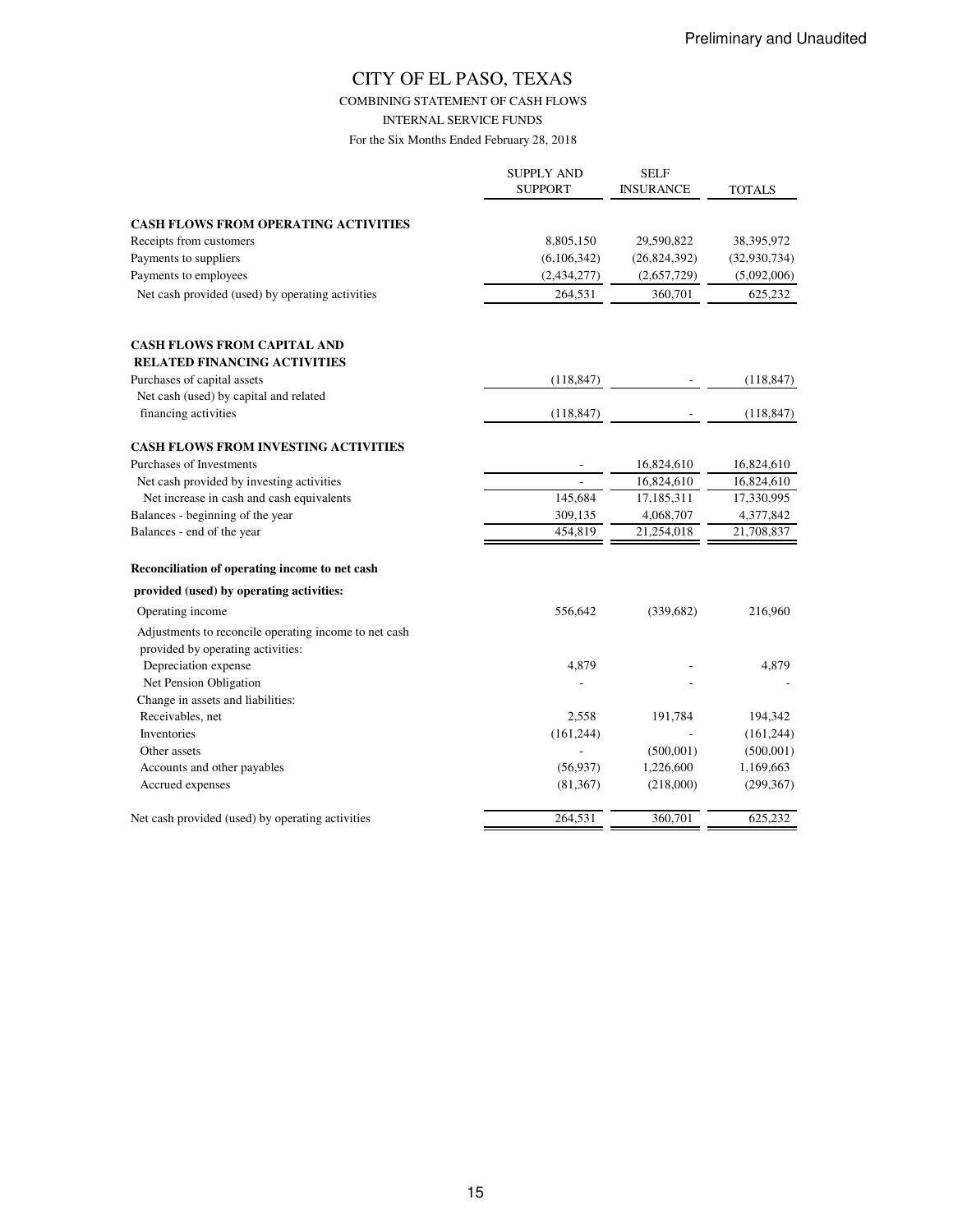COMBINING STATEMENT OF CASH FLOWS

INTERNAL SERVICE FUNDS

|                                                                                            | <b>SUPPLY AND</b><br><b>SUPPORT</b> | SELF<br><b>INSURANCE</b> | <b>TOTALS</b> |
|--------------------------------------------------------------------------------------------|-------------------------------------|--------------------------|---------------|
| <b>CASH FLOWS FROM OPERATING ACTIVITIES</b>                                                |                                     |                          |               |
| Receipts from customers                                                                    | 8,805,150                           | 29,590,822               | 38,395,972    |
| Payments to suppliers                                                                      | (6,106,342)                         | (26, 824, 392)           | (32,930,734)  |
| Payments to employees                                                                      | (2, 434, 277)                       | (2,657,729)              | (5,092,006)   |
| Net cash provided (used) by operating activities                                           | 264,531                             | 360,701                  | 625,232       |
| <b>CASH FLOWS FROM CAPITAL AND</b>                                                         |                                     |                          |               |
| <b>RELATED FINANCING ACTIVITIES</b>                                                        |                                     |                          |               |
| Purchases of capital assets                                                                | (118, 847)                          |                          | (118, 847)    |
| Net cash (used) by capital and related                                                     |                                     |                          |               |
| financing activities                                                                       | (118, 847)                          |                          | (118, 847)    |
| <b>CASH FLOWS FROM INVESTING ACTIVITIES</b>                                                |                                     |                          |               |
| Purchases of Investments                                                                   |                                     | 16,824,610               | 16,824,610    |
| Net cash provided by investing activities                                                  |                                     | 16,824,610               | 16,824,610    |
| Net increase in cash and cash equivalents                                                  | 145,684                             | 17,185,311               | 17,330,995    |
| Balances - beginning of the year                                                           | 309,135                             | 4,068,707                | 4,377,842     |
| Balances - end of the year                                                                 | 454,819                             | 21,254,018               | 21,708,837    |
| Reconciliation of operating income to net cash                                             |                                     |                          |               |
| provided (used) by operating activities:                                                   |                                     |                          |               |
| Operating income                                                                           | 556,642                             | (339, 682)               | 216,960       |
| Adjustments to reconcile operating income to net cash<br>provided by operating activities: |                                     |                          |               |
| Depreciation expense                                                                       | 4,879                               |                          | 4,879         |
| Net Pension Obligation                                                                     |                                     |                          |               |
| Change in assets and liabilities:                                                          |                                     |                          |               |
| Receivables, net                                                                           | 2,558                               | 191,784                  | 194,342       |
| Inventories                                                                                | (161, 244)                          |                          | (161, 244)    |
| Other assets                                                                               |                                     | (500, 001)               | (500, 001)    |
| Accounts and other payables                                                                | (56, 937)                           | 1,226,600                | 1,169,663     |
| Accrued expenses                                                                           | (81, 367)                           | (218,000)                | (299, 367)    |
| Net cash provided (used) by operating activities                                           | 264,531                             | 360,701                  | 625,232       |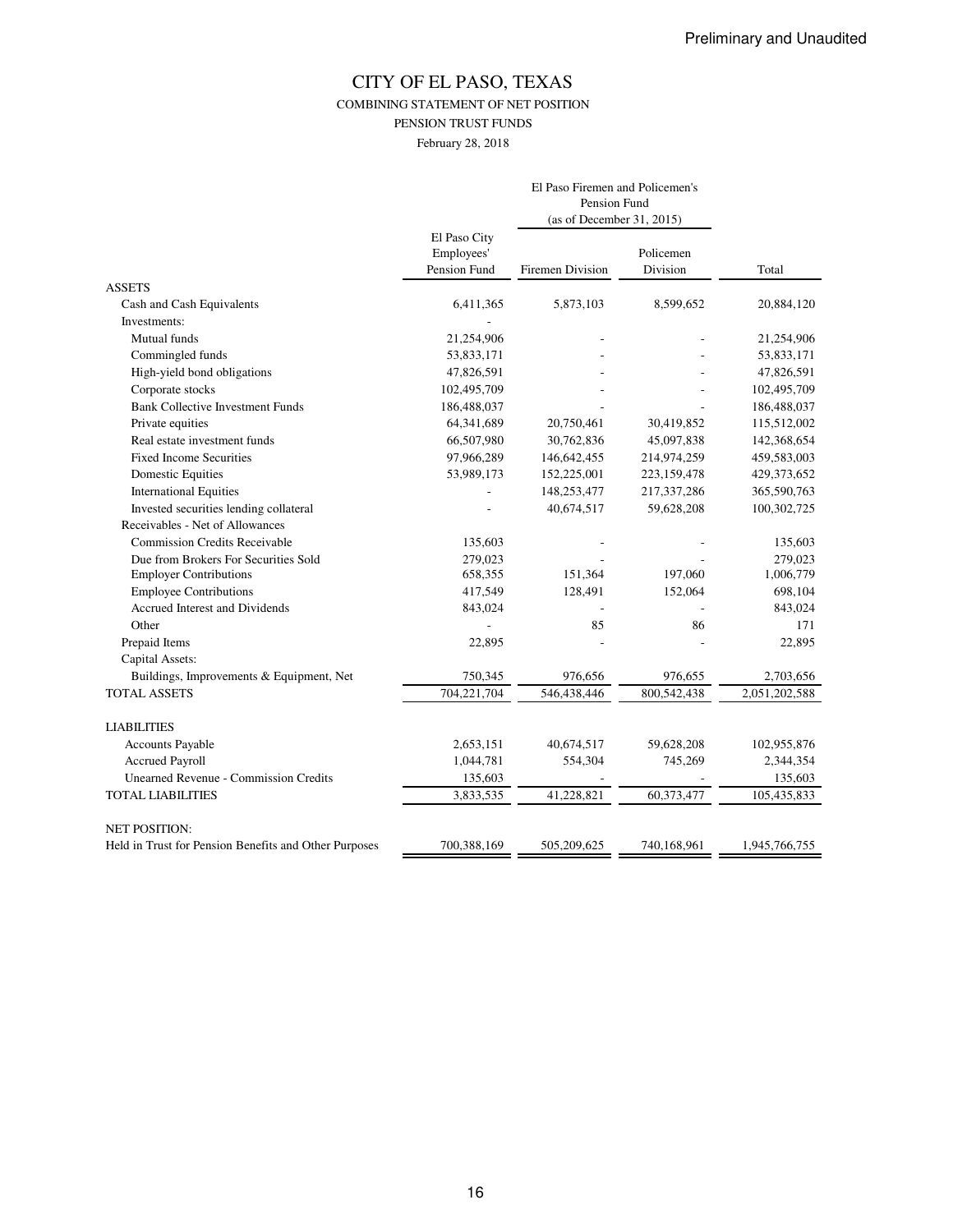COMBINING STATEMENT OF NET POSITION

PENSION TRUST FUNDS

February 28, 2018

|                                                       |                                            | El Paso Firemen and Policemen's<br>Pension Fund<br>(as of December 31, 2015) |                       |               |
|-------------------------------------------------------|--------------------------------------------|------------------------------------------------------------------------------|-----------------------|---------------|
|                                                       | El Paso City<br>Employees'<br>Pension Fund | <b>Firemen Division</b>                                                      | Policemen<br>Division | Total         |
| <b>ASSETS</b>                                         |                                            |                                                                              |                       |               |
| Cash and Cash Equivalents                             | 6,411,365                                  | 5,873,103                                                                    | 8,599,652             | 20,884,120    |
| Investments:                                          |                                            |                                                                              |                       |               |
| Mutual funds                                          | 21,254,906                                 |                                                                              |                       | 21,254,906    |
| Commingled funds                                      | 53,833,171                                 |                                                                              |                       | 53,833,171    |
| High-yield bond obligations                           | 47,826,591                                 |                                                                              |                       | 47,826,591    |
| Corporate stocks                                      | 102,495,709                                |                                                                              |                       | 102,495,709   |
| <b>Bank Collective Investment Funds</b>               | 186,488,037                                |                                                                              |                       | 186,488,037   |
| Private equities                                      | 64,341,689                                 | 20,750,461                                                                   | 30,419,852            | 115,512,002   |
| Real estate investment funds                          | 66,507,980                                 | 30,762,836                                                                   | 45,097,838            | 142,368,654   |
| <b>Fixed Income Securities</b>                        | 97,966,289                                 | 146,642,455                                                                  | 214,974,259           | 459,583,003   |
| <b>Domestic Equities</b>                              | 53,989,173                                 | 152,225,001                                                                  | 223,159,478           | 429,373,652   |
| <b>International Equities</b>                         |                                            | 148,253,477                                                                  | 217,337,286           | 365,590,763   |
| Invested securities lending collateral                |                                            | 40,674,517                                                                   | 59,628,208            | 100,302,725   |
| Receivables - Net of Allowances                       |                                            |                                                                              |                       |               |
| <b>Commission Credits Receivable</b>                  | 135,603                                    |                                                                              |                       | 135,603       |
| Due from Brokers For Securities Sold                  | 279,023                                    |                                                                              |                       | 279,023       |
| <b>Employer Contributions</b>                         | 658,355                                    | 151,364                                                                      | 197,060               | 1,006,779     |
| <b>Employee Contributions</b>                         | 417,549                                    | 128,491                                                                      | 152,064               | 698,104       |
| Accrued Interest and Dividends                        | 843,024                                    |                                                                              |                       | 843,024       |
| Other                                                 |                                            | 85                                                                           | 86                    | 171           |
| Prepaid Items                                         | 22,895                                     |                                                                              |                       | 22,895        |
| Capital Assets:                                       |                                            |                                                                              |                       |               |
| Buildings, Improvements & Equipment, Net              | 750,345                                    | 976,656                                                                      | 976,655               | 2,703,656     |
| <b>TOTAL ASSETS</b>                                   | 704,221,704                                | 546,438,446                                                                  | 800,542,438           | 2,051,202,588 |
| <b>LIABILITIES</b>                                    |                                            |                                                                              |                       |               |
| Accounts Payable                                      | 2,653,151                                  | 40,674,517                                                                   | 59,628,208            | 102,955,876   |
| <b>Accrued Payroll</b>                                | 1,044,781                                  | 554,304                                                                      | 745,269               | 2,344,354     |
| <b>Unearned Revenue - Commission Credits</b>          | 135,603                                    |                                                                              |                       | 135,603       |
| <b>TOTAL LIABILITIES</b>                              | 3,833,535                                  | 41,228,821                                                                   | 60,373,477            | 105,435,833   |
| <b>NET POSITION:</b>                                  |                                            |                                                                              |                       |               |
| Held in Trust for Pension Benefits and Other Purposes | 700,388,169                                | 505,209,625                                                                  | 740,168,961           | 1,945,766,755 |